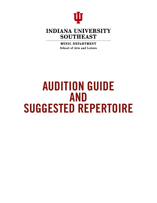

## **INDIANA UNIVERSITY SOUTHEAST**

**MUSIC DEPARTMENT School of Arts and Letters** 

# AUDITION GUIDE AND SUGGESTED REPERTOIRE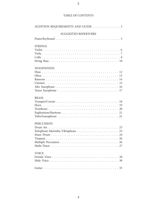#### TABLE OF CONTENTS

| AUDITION REQUIREMENTS AND GUIDE 3 |
|-----------------------------------|
| <b>SUGGESTED REPERTOIRE</b>       |
|                                   |
| <b>STRINGS</b>                    |
|                                   |
|                                   |
|                                   |
|                                   |
| <b>WOODWINDS</b>                  |
|                                   |
|                                   |
|                                   |
|                                   |
|                                   |
|                                   |
| <b>BRASS</b>                      |
|                                   |
|                                   |
|                                   |
|                                   |
|                                   |
| <b>PERCUSSION</b>                 |
|                                   |
|                                   |
|                                   |
|                                   |
|                                   |
|                                   |
|                                   |
| <b>VOICE</b>                      |
|                                   |
|                                   |
|                                   |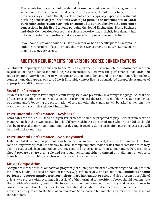The repertoire lists which follow should be used as a guide when choosing audition selections. There are no required selections. However, the following lists illustrate the genres, styles, and difficulty levels of music that is typically expected of a student pursuing a music degree. **Students wishing to pursue the Instrumental or Vocal Performance degrees are strongly encouraged to adhere closely to the repertoire suggestions in this list**. Students pursuing the Sound Engineering, Music Business and Music Composition degrees may select repertoire that is slightly less demanding, but should select compositions that are similar to the selections on this list.

If you have questions about this list or whether or not a specific piece is acceptable audition repertoire, please contact the Music Department at 812.941.2655 or by e-mail at semusic@ius.edu**.**

## AUDITION REQUIREMENTS FOR VARIOUS DEGREE CONCENTRATIONS

All students applying for admission to the Music Department must complete a performance audition regardless of the student's intended degree concentration. However, the performance standards and requirements do vary depending on which concentration the student intends to pursue. Generally speaking, compositions that appear on state Solo & Ensemble contest lists are considered acceptable examples of appropriate audition repertoire.

## **Vocal Performance**

Students should prepare two songs of contrasting style, one preferably in a foreign language. At least one of the songs should be memorized. A selection from musical theatre is acceptable. Voice auditions must be accompanied. Following the presentation of solo material, the candidate will be asked to demonstrate basic pitch and rhythmic sight-reading ability.

#### **Instrumental Performance – Keyboard**

Candidates for the B.A. in Piano or Organ Performance should be prepared to play – either from score or memory – no less than two pieces. They should be varied, both as to period and style. The candidate should also be prepared to play major and minor scales and arpeggios. Some basic pitch matching exercises will be asked of the candidate.

## **Instrumental Performance – Non-Keyboard**

Instrumentalists should prepare two shorter selections in contrasting styles from the standard literature (or one longer work) that best display musical accomplishments. Major scales and chromatic scales may also be requested. Instrumentalists are not required to perform with accompaniment. Percussionists should prepare a snare drum solo and basic rudiments, and either a timpani or mallet instrument solo. Some basic pitch matching exercises will be asked of the candidate.

## **Music Composition**

Acceptance into the Music Composition program (both Composition for the Concert Stage and Composition for Film & Media) is based on both an interview/portfolio review and an audition. **Candidates should perform one representative work on their primary instrument or voice** and also present a portfolio of at least two scores (with recordings, if possible) of their original compositions. Scores should demonstrate the candidate's creativity and ability to realize his or her ideas with accuracy and in accordance to conventional notational practices. Candidates should be able to discuss their influences and music interests as they relate to the field of composition. Some basic pitch matching exercises will be asked of the candidate.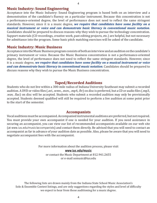## **Music Industry: Sound Engineering**

Acceptance into the Music Industry: Sound Engineering program is based both on an interview and a demonstration of the candidate's fluency on a particular instrument. Because this concentration is not a performance-oriented degree, the level of performance does not need to reflect the same stringent standards. However, since it is a music degree, *we require that candidates have some facility on a musical instrument or voice and can demonstrate basic literacy in conventional music notation*. Candidates should be prepared to discuss reasons why they wish to pursue the technology concentration. Support materials (CD recordings, creative work, past editing projects, etc.) are helpful, but not necessary for admittance into the program. Some basic pitch matching exercises will be asked of the candidate.

#### **Music Industry: Music Business**

Acceptance into the Music Business program consists of both an interview and an audition on the candidate's primary instrument or voice. Because the Music Business concentration is not a performance-oriented degree, the level of performance does not need to reflect the same stringent standards. However, since it is a music degree, *we require that candidates have some facility on a musical instrument or voice and can demonstrate basic literacy in conventional music notation*. Candidates should be prepared to discuss reasons why they wish to pursue the Music Business concentration.

## **Taped/Recorded Auditions**

Students who do not live within a 300-mile radius of Indiana University Southeast may submit a recorded audition. A DVD or video files (.avi, .wmv., .mov., .mp4, .flv) on disc is preferred, but a CD or audio files (.mp3, .wav, .flac) on disc will be accepted. Students who submit a recorded audition may only be provisionally accepted. Students deemed qualified will still be required to perform a live audition at some point prior to the start of the semester.

#### **Accompanists**

Vocal auditions must be accompanied. Accompanied instrumental auditions are preferred, but not required. You must provide your own accompanist if one is needed for your audition. If you need assistance in securing an accompanist, you can view our list of recommended accompanists available on our web site (at www.ius.edu/music/accompanists) and contact them directly. Be advised that you will need to contact an accompanist as far in advance of your audition date as possible. Also, please be aware that you will need to negotiate accompanist fees with the accompanist.

For more information about the audition process, please visit

www.ius.edu/music

or contact the Music Department at 812.941.2655 or e-mail semusic@ius.edu

The following lists are drawn mainly from the Indiana State School Music Association's Solo & Ensemble Contest listings, and are only suggestions regarding the styles and level of difficulty we expect to hear from those auditioning for a music degree.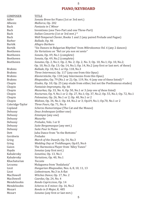## **PIANO/KEYBOARD**

5

| <b>COMPOSER</b>  | <b>TITLE</b>                                                                          |
|------------------|---------------------------------------------------------------------------------------|
| Adler            | Sonata Breve for Piano (1st or 3rd mvt.)                                              |
| Albeniz          | Mallorca, Op. 202                                                                     |
| Bach             | Fantasia in C Minor                                                                   |
| Bach             | Inventions (one Two-Part and one Three-Part)                                          |
| Bach             | Italian Concerto (1st or 3rd mvt.)*                                                   |
| Bach             | Well-Tempered Clavier, Books 1 and 2 (any paired Prelude and Fugue)                   |
| <b>Barber</b>    | Ballade, Op. 46                                                                       |
| Bartók           | Allegro Barbaro                                                                       |
| Bartók           | "Six Dances in Bulgarian Rhythm" from Mikrokosmos Vol. 6 (any 2 dances)               |
| Beethoven        | Six Variations on "Nel cor piu non mi sento"                                          |
| Beethoven        | Sonata, Op. 49, No.1 (complete)                                                       |
| Beethoven        | Sonata, Op. 49, No.2 (complete)                                                       |
| Beethoven        | Sonatas, Op. 2, No.1; Op. 2, No. 2; Op. 2, No. 3; Op. 10, No.1; Op. 10, No.2;         |
|                  | Op. 10, No.3; Op. 13; Op. 14, No.1; Op. 14, No.2 (any first or last mvt. of these)    |
| <b>Brahms</b>    | Ballade, Op. 10, No.1 or Op. 118, No.3                                                |
| <b>Brahms</b>    | Three Intermezzi, Op. 117 (any one from this Opus)                                    |
| <b>Brahms</b>    | Klavierstücke, Op. 118 (any Intermezzo from this Opus)                                |
| <b>Brahms</b>    | Rhapsodies, Op. 79 (No.1 or 2); Op. 119, No. 4 (any one of these listed) $*$          |
| Chopin           | <i>Etudes</i> , Op. 10; Op. 25 (any etude from either, but not the Posthumous etudes) |
| Chopin           | Fantaisie-Impromptu, Op. 66                                                           |
|                  | Mazurkas, Op. 33, No. 4; Op. 50, No.1 or 3 (any one of these listed)                  |
| Chopin<br>Chopin | Nocturnes, Op. 9, No.1 or 2; Op. 27, No.1; Op. 37, No.2; Op. 55, No.1; Op. 72, No.1   |
| Chopin           | Polonaises, Op. 26, No.1 or 2; Op. 40, No.1 or 2                                      |
|                  |                                                                                       |
| Chopin           | Waltzes, Op. 34, No.1; Op. 64, No.2 or 3; Op.69, No.1; Op.70, No.1 or 2               |
| Coleridge-Taylor | Three Fours, Op. 71, No. 6                                                            |
| Copland          | Scherzo Humoristique (The Cat and the Mouse)                                          |
| Debussy          | Deux Arabesques (either one)                                                          |
| Debussy          | <i>Estampes</i> (any one)                                                             |
| Debussy          | Mazurka                                                                               |
| Debussy          | Preludes, Vols. I or II                                                               |
| Debussy          | Suite Bergamasque (any mvt.)                                                          |
| Debussy          | Suite Pour le Piano                                                                   |
| Dett             | Juba Dance from "In the Bottoms"                                                      |
| Gershwin         | Preludes                                                                              |
| Grieg            | March of the Dwarfs, Op. 54, No.3                                                     |
| Grieg            | Wedding Day at Troldhaugen, Op.65, No.6                                               |
| Guion            | The Harmonica Player from "Alley Tunes"                                               |
| Haydn            | Sonatas (any first mvt.)                                                              |
| Kabalevsky       | Sonatina, Op. 13, No.1                                                                |
| Kabalevsky       | Variations, Op. 40, No.1                                                              |
| Khachaturian     | <b>Toccata</b>                                                                        |
| Lecuona          | Malaguena from "Andalusia"                                                            |
| Liszt            | Hungarian Rhapsodies, Nos. 6, 8, 10, 11, 13                                           |
| Liszt            | Liebestraum, No.3 in A-flat                                                           |
| MacDowell        | Witches Dance, Op. 17, No. 2                                                          |
| MacDowell        | Czardas, Op. 24, No. 4                                                                |
| Mendelssohn      | Rondo Capriccioso, Op. 14                                                             |
| Mendelssohn      | Scherzo in E minor, Op. 16, No.2                                                      |
| Mozart           | Rondo in D Major, K. 485                                                              |
| Mozart           | Sonatas (any first or last mvt.)                                                      |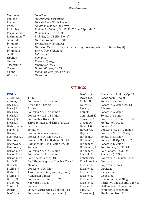## (Piano/Keyboard)

| Sonatina                                                                           |
|------------------------------------------------------------------------------------|
| Mouvements perpetuals                                                              |
| Toccata from "Trois Pieces"                                                        |
| Sonata in E minor (any mvt.)                                                       |
| Prelude in C Major, Op. 12, No.7 from "Episodes"                                   |
| Humoresque, Op. 10, No. 5                                                          |
| <i>Preludes, Op. 23</i> (No. 5 or 6)                                               |
| Four Impromptus, Op. 90                                                            |
| Sonatas (any first myt.)                                                           |
| <i>Fantastic Pieces</i> , Op. 12 (In the Evening, Soaring, Whims, or In the Night) |
| <b>Scenes from Childhood</b>                                                       |
| Lotus Land                                                                         |
| Romance                                                                            |
| Rustle of Spring                                                                   |
| Bagatelles, Op. 5                                                                  |
| Danses Gitanes, Op.55                                                              |
| Piano Preludes (No. 1 or 10)                                                       |
| Toccata II                                                                         |
|                                                                                    |

## **STRINGS**

#### **VIOLIN**

| <b>COMPOSER</b> | <b>TITLE</b>                       |
|-----------------|------------------------------------|
| Accolay, J. B.  | Concerto No. 1 in a minor          |
| Bach, J.S.      | Air on the G String                |
| Bach, J.S.      | Arioso                             |
| Bach, J. S.     | Concerto No. 1 in a minor          |
| Bach, J. S.     | Concerto No. 2 in E Major          |
| Bach, J. S.     | Six Sonatas, BWV 1-1               |
| Bach, J. S.     | Three Sonatas and Three Partitas   |
| Barber, Samuel  | Canzone                            |
| Bartók, B.      | Sonatine                           |
| Bartók, B.      | Roumanian Folk Dances              |
| Beethoven, L    | Concerto in D Major, Op. 61,       |
| Beethoven, L.   | Romance No. 1 in G Major, Op. 40   |
| Beethoven, L.   | Romance No. 2 in F Major, Op. 50   |
| Beethoven, L    | Sonatas                            |
| Beriot, C. de   | Concerto No. 7 in G Major          |
| Beriot, C. de   | Concerto No. 9 in a minor          |
| Beriot, C. de   | Scene de Ballet, Op. 100           |
| Bloch, E.       | Baal Shem (Nigun or Simchas Torah) |
| Bloch, E.       | Melodie                            |
| Brahms, J.      | Concerto in D Major                |
| Brahms, J.      | Three Sonatas (any one, any mvt.)  |
| Brahms, J.      | <b>Hungarian Dances</b>            |
| Bruch, M.       | Concerto in g minor, Op. 26        |
| Bruch, M.       | Kol Nidrei, Op. 47                 |
| Corelli, A.     | Sonatas                            |
| Dancla          | Six Airs Varies Op. 89 and Op. 118 |
| Dvořák, A.      | Concerto in a minor (any mvt.)     |
|                 |                                    |

| Dvořák, A.    | Romance in f minor, Op. 11     |
|---------------|--------------------------------|
| Dvořák, A.    | Sonatina in G Major            |
| Eccles, H.    | Sonata in g minor              |
| Faurè, G.     | Sonata in A Major, Op. 13      |
| Fiocco, J. H. | Allegro                        |
| Franck        | Sonata in A Major              |
| Geminiani, F. | Sonata in c minor              |
| Glazunov, A.  | Concerto in a minor, Op. 82    |
| Glazunov, A.  | Meditation, Op. 32             |
| Handel, G.    | Sonatas 1-6                    |
| Haydn F.J.    | Concerto No. 1 in C major,     |
| Haydn         | Concerto No. 2 in G Major,     |
| Hindemith, P. | Sonata in C Major              |
| Hindemith, P. | Sonata in D, Op. 11, No. 2     |
| Hindemith, P. | Sonata in E Major              |
| Hindemith, P. | Solo Sonata, Op. 31, #1        |
| Hindemith, P. | Solo Sonata, Op. 31, #2        |
| Janácek, L.   | Romance (1879)                 |
| Kabalevsky    | Concerto in C Major, Op. 48    |
| Khachaturian  | Concerto                       |
| Kreisler, F.  | Caprice Viennois               |
| Kreisler, F.  | La Gitana                      |
| Kreisler, F.  | Liebesfreud                    |
| Kreisler, F.  | Liebeslied                     |
| Kreisler, F.  | Praeludium and Allegro         |
| Kreisler, F.  | Recitativo and Scherzo Caprice |
| Kreisler, F.  | Sicilienne and Rigaudon        |
| Lalo, E.      | Symphonie Espagnole            |
| Massenet, J.  | <b>Meditation from Thais</b>   |
|               |                                |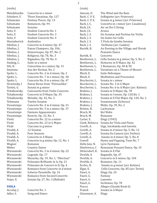*(violin)*

Mendelssohn Concerto in e minor<br>Schubert, F. Three Sonatinas, Op. Schubert, F. Three Sonatinas, Op. 127<br>Schumann Fantasy Pieces. Op. 13 Schumann Fantasy Pieces, Op. 13<br>Schumann Romances. Op. 94 Romances, Op. 94<br>Sonatas Schumann<br>Seitz, F. Seitz, F. Student Concerto No. 1<br>Seitz, F. Student Concerto No. 3 Seitz, F. Student Concerto No. 3<br>Seitz, F. Student Concerto No. 4 Student Concerto No. 4<br>Andantino Shostakovich<br>Sibelius, J. Sibelius, J. Concerto in d minor, Op. 47<br>Sibelius, J. Danse Champers, Op. 106. Sibelius, J. Danse Champers, Op. 106,<br>Sibelius, J. Humoresque, Op. 87, No. 2 Sibelius, J. Humoresque, Op. 87, No. 2<br>Sibelius, J. Religioso, Op. 78, No. 3 Sibelius, J. Religioso, Op. 78, No. 3<br>Sibelius, J. Rigaudon, Op. 78, No. 4 Sibelius, J. Rigaudon, Op. 78, No. 4<br>Sinding, C. Suite in a minor Sinding, C. Suite in a minor<br>Sitt, H. Concertino in e r Sitt, H. Concertino in e minor, Op. 31<br>Smetana Aus der Heimat. No. 2 Smetana Aus der Heimat, No. 2<br>Spohr, L. Concerto No. 2 in d mi Spohr, L. Concerto No. 2 in d minor, Op. 2<br>Spohr, L. Concerto No. 7 in e minor, Op. 38 Spohr, L. Concerto No. 7 in e minor, Op. 38<br>Spohr, L. Concerto No. 8 in a minor, Op. 47 Spohr, L. Concerto No. 8 in a minor, Op. 47<br>Stravinsky, I Danse Russe from "Petrouchka" Stravinsky, I Danse Russe from "Petrouchka"<br>Tartini, G. Sonata in g minor Tartini, G. Sonata in g minor<br>Tchaikowsky Canzonetta from V Tchaikowsky Canzonetta from Violin Concerto<br>Tchaikowsky Concerto in D Major, Op. 35 Tchaikowsky Concerto in D Major, Op. 35<br>Tchaikowsky Melodie, Op. 42, No. 3 Tchaikowsky Melodie, Op. 42, No. 3 Telemann Twelve Sonatas<br>Vieuxtemps Concerto No. 4 i Vieuxtemps Concerto No. 4 in d minor, Op. 31<br>Vieuxtemps Concerto No. 5 in a minor, Op. 37 Vieuxtemps Concerto No. 5 in a minor, Op. 37<br>Vieuxtemps Fantasie Appassionata Vieuxtemps Fantasie Appassionata<br>Vieuxtemps Reverie, Op. 22, No. 3 Vieuxtemps Reverie, Op. 22, No. 3<br>Viotti Concerto No. 22 in a r Viotti Concerto No. 22 in a minor<br>Viotti Concerto No. 23 in G Maior Viotti Concerto No. 23 in G Major<br>Vitali Ciaccona in g minor Vitali Ciaccona in g minor<br>Vivaldi, A 12 Sonatas Vivaldi, A 12 Sonatas<br>Vivaldi, A. Four Seasor Vivaldi, A. Four Seasons<br>Vivaldi, A. Concerto in A Vivaldi, A. Concerto in A Major,<br>Vivaldi, A. Concerto in g minor, Vivaldi, A. Concerto in g minor, Op. 12, No. 1 Wagner Romanze<br>Weber Country D Weber Country Dance<br>Wieniawski Concerto No. 2 Wieniawski Concerto No. 2 in d minor, Op. 22<br>Wieniawski Legende, Op. 17 Wieniawski Legende, Op. 17 Wieniawski Mazurka, Op. 19, No. 1, "Obertass" Wieniawski Polonaise Brilliante in A, Op. 21<br>Wieniawski Polonaise de Concert in D. Op. 4 Wieniawski Polonaise de Concert in D, Op. 4<br>Wieniawski Romance from Concerto in d mir Wieniawski Romance from Concerto in d minor<br>Wieniawski Scherzo-Tarantelle, Op. 16 Wieniawski Scherzo-Tarantelle, Op. 16<br>Wieniawski Romance from Second Con Wieniawski Romance from Second Concerto<br>
Ysave, E. Sonata Op. 27, No. 3 (Ballade) Sonata Op. 27, No. 3 (Ballade)

#### **VIOLA**

Accolay, J. Concerto No. 1<br>Adler. S. Song and Dance Song and Dance

#### *(viola)*

Amram, D. The Wind and the Rain<br>Bach, C. P. E. Solfegietto (arr. Primros Bach, C. P. E. Solfegietto (arr. Primrose)<br>Bach, C. P. E. Sonata in g minor (arr. Prin Bach, C. P. E. Sonata in g minor (arr. Primrose)<br>Bach, J. C. Concerto in c minor (arr. Casades Bach, J. C. Concerto in c minor (arr. Casadesus)<br>Bach, J.S. Air on the G String Air on the G String<br>Arioso Bach, J.S.<br>Bach, J. S. Bach, J. S. Six Sonatas and Partitas for Violin<br>Bach, J. S. Six Suites for Cello Bach, J. S. Six Suites for Cello<br>Bach, J. S. 3 Viola da Gamba S Bach, J. S. 3 Viola da Gamba Sonatas<br>Bach, J. S. 3 Sicilliano (arr. Cazden) Bach, J. S. Sicilliano (arr. Cazden)<br>Bartók, B. An Evening in the Villag An Evening in the Village and Slovak Peasants Dance<br>Concerto Bartók, B.<br>Beethoven, L. Beethoven, L. Cello Sonata in g minor, Op. 5, No. 2<br>Beethoven, L. Notturno in D Major, Op. 42 Beethoven, L. Notturno in D Major, Op. 42<br>Beethoven, L. 2 Romances, Op. 40 & 50 Beethoven, L. 2 Romances, Op. 40 & 50<br>Beethoven, L. Variations on a Theme of Beethoven, L. Variations on a Theme of Mozart<br>Bloch, E. Suite Hebraique Bloch, E. Suite Hebraique<br>Bloch, E. Meditation and F Bloch, E. Meditation and Procession<br>Boccherini, L. Sonata in c minor Boccherini, L. Sonata in c minor<br>Boccherini, L. Sonata No. 3 in G l Boccherini, L. Sonata No. 3 in G Major<br>Boccherini, L. Sonata No. 6 in A Major Boccherini, L. Sonata No. 6 in A Major (arr. Katims)<br>Brahms, J. Sonata in D Major, Op. 78 Brahms, J. Sonata in D Major, Op. 78<br>Brahms, J. Sonata in f minor, Op. 120 Brahms, J. Sonata in f minor, Op. 120, No. 1<br>Brahms, J. Sonata in E Flat Major, Op. 120, Brahms, J. Sonata in E Flat Major, Op. 120, No. 2<br>Brahms, J. Sonatenasatz (Scherzo) Brahms, J. Sonatenasatz (Scherzo)<br>Brahms, I. Waltz, Op. 39, No. 2 Brahms, J. Waltz, Op. 39, No. 2 Lachrymae<br>Kol Nidre Bruch, M. Kol Nidre<br>Bruch, M. Romanze Bruch, M.<br>Carter, E. Carter, E. Elegy (1943)<br>Clark, Rebecca Sonata for Vio Clark, Rebecca Sonata for Viola and Piano Corelli, A. Giga, Sarabanda and Gavotta<br>Corelli, A. Sonata in d minor Op. 5, No. 1 Corelli, A. Sonata in d minor Op. 5, No. 12<br>Corelli, A. Sonata Da Camera (arr. Forbes) Corelli, A. Sonata Da Camera (arr. Forbes)<br>Corelli, A. Sonata in d minor, Op. 5, No. 8 Corelli, A. Sonata in d minor, Op. 5, No. 8<br>Cowell Hymn and Fuguing. Tune No. 7 Cowell Hymn and Fuguing, Tune No. 7<br>Dello Joio, N. Lyric Fantasies Dello Joio, N. Lyric Fantasies<br>Dimitrescu. C. Romanian Peas Dimitrescu, C Romanian Peasant Dance, Op. 15<br>Dittersdorf, K. Sonata in E Flat Dittersdorf, K. Sonata in E Flat<br>Dvořák, A. Bagatelle, Op. 47 Dvořák, A Bagatelle, Op. 47<br>Dvořák, A. Concerto in b mir Dvořák, A. Concerto in b minor, Op. 104 Dvořák, A. Romance, Op. 11 Eccles, H. Sonata in g minor (arr. Katims)<br>Elgar, E. Cello Concerto, Op. 85 (arr. Tert Elgar, E. Cello Concerto, Op. 85 (arr. Tertis)<br>Faurè, G. Elegy, Op. 24 Elegy, Op. 24<br>Fantasy Faurè, G. Fantasy Faurè, G.<br>Faurè, G. Faurè, G. Sicilienne, Op. 78<br>Fiocco Allegro (Suzuki B Fiocco Allegro (Suzuki Book 6)<br>Franck Sonata in A Maior Sonata in A Major<br>Elegy Glazunnov, A.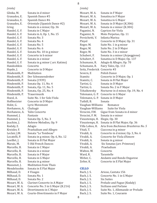*(viola)*

Glinka, M. Sonata in d minor<br>Granados, E. Spanish Dance #5 Granados, E. Spanish Dance #5<br>Granados, E. Spanish Dance #6 Granados, E. Spanish Dance #6<br>Granados, E. Orientale (Spanish Granados, E. Orientale (Spanish Dance #2)<br>Grieg Sonata in a minor. Op. 36 Grieg Sonata in a minor, Op. 36<br>Handel, G. F. Sonata in C Major Handel, G. F. Sonata in C Major<br>Handel, G. F. Sonata in A, Op. 1, Sonata in A, Op. 1, No. 15<br>Sonata No. 3 Handel, G. F.<br>Handel, G. F. Sonata No. 4<br>Sonata No. 5 Handel, G. F. Sonata No. 5<br>Handel, G. F. Sonata No. 6 Handel, G. F.<br>Handel, G. F. Handel, G. F. Sonata No. 10 in g minor<br>Handel, G. F. Concerto in b minor Handel, G. F. Concerto in b minor<br>Handel, G. F. Sonata in e minor Handel, G. F. Sonata in e minor<br>Handel, G. F. Sonata in g minor Sonata in g minor ( arr. Katims)<br>Concerto Handoshkin<br>Haydn, J. Concerto in D Major<br>Meditation Hindemith, P.<br>Hindemith, P. Hindemith, P. Der Schwanendreher<br>Hindemith, P. Sonata (1939) Hindemith, P. Sonata (1939)<br>Hindemith, P. Sonata Op. 11, Hindemith, P. Sonata Op. 11, No. 4<br>Hindemith, P. Sonata, Op. 11, No. 5 Hindemith, P. Sonata, Op. 11, No. 5<br>Hindemith, P. Sonata, Op. 25, No. 4 Sonata, Op. 25, No. 4<br>Trauermusik Hindemith, P.<br>Hoesl. A. Hoesl, A. Suite No. 1 for Solo Viola<br>Hoffmeister Concerto in D Major Hoffmeister Concerto in D Major<br>Holst. G. Lyric Movement Lyric Movement<br>Chahagir Hovhaness, A.<br>Hovhaness, A. Talin Concerto<br>Fantasie Hummel, J.<br>Hummel, J. Hummel, J. Sonata Op. 5, No. 3<br>Joachim, J. Hebrew Melodies, 0 Hebrew Melodies, Op. 9<br>Adagio Kodaly, Z.<br>Kreisler, F. Kreisler, F. Praeludium and Allegro<br>Leclair, J.M. Sonata "Le Tombeau" Leclair, J.M. Sonata "Le Tombeau"<br>Locatelli, P. Sonata in g minor, Op. Locatelli, P. Sonata in g minor, Op. 6, No. 12<br>Loeillet, J. Sonata in B Flat Major Loeillet, J. Sonata in B Flat Major<br>Marais, M. 5 Old French Dances Marais, M. 5 Old French Dances<br>Marcello, B. 5 Sonata in C Major Marcello, B. Sonata in C Major<br>Marcello, B. Sonata in e minor Marcello, B. Sonata in e minor<br>Marcello, B. Sonata in F Major Marcello, B. Sonata in F Major<br>Marcello, B. Sonata in G Major Marcello, B. Sonata in G Major<br>Marcello, B. Sonata in g minor Marcello, B. Sonata in g minor<br>Massenet, J. Meditation from T Massenet, J. Meditation from Thais<br>Mendelssohn Sonata in E Flat Maior Sonata in E Flat Major<br>4 Visages Milhaud, D.<br>Milhaud, D. Sonata No. 1<br>Sonata No. 2 Milhaud, D.<br>Mozart, W. A. Mozart, W. A. Clarinet Concerto in A Major<br>Mozart, W. A. Concerto No. 3 in G Major (K. Mozart, W. A. Concerto No. 3 in G Major (K.216)<br>Mozart, W. A. Divertimento in C Major Mozart, W. A. Divertimento in C Major<br>Mozart, W. A. Courte-Divertimento in I Courte-Divertimento in F Major

## *(viola)*

Mozart, W. A. Sonata in F Major<br>Mozart, W. A. Sonatina in F Majo Mozart, W. A. Sonatina in F Major<br>Mozart, W. A. Sonatina in G Major Mozart, W. A. Sonatina in G Major<br>Mozart, W. A. Sonata in D Major (F Mozart, W. A. Sonata in D Major (K.306)<br>Mozart, W. A. Sonata in e minor (K.304) Mozart, W. A. Sonata in e minor (K.304)<br>Paganini, N. Caprices for Viola Paganini, N. Caprices for Viola<br>Paganini, N. Moto Perpetuo, Op Paganini, N. Moto Perpetuo, Op. 11<br>Persichetti, V. Infanta Marina Persichetti, V. Infanta Marina Pleyel Concerto in D Major, Op. 31<br>Reger, M. Suite No. 1 in g minor Reger, M. Suite No. 1 in g minor<br>Reger, M. Suite No. 2 in D Major Reger, M. Suite No. 2 in D Major<br>Reger, M. Suite No. 3 in e minor Reger, M. Suite No. 3 in e minor<br>Schubert, F. Sonata in a minor (Arq Schubert, F. Sonata in a minor (Arpeggione)<br>Schubert, F. Sonatina in D Major, Op. 137 Schubert, F. Sonatina in D Major, Op. 137<br>Schumann. R. Adagio & Allegro. Op. 70 Schumann, R. Adagio & Allegro, Op. 70<br>Schumann, R. Fairy Tales, Op. 113 Fairy Tales, Op. 113 Seitz, Frederick Concerto #3<br>Severn. E Polish Dance Severn, E Polish Dance<br>Stamitz Concerto in D Stamitz Concerto in D Major, Op. 1<br>Stamitz, C. Sonata in B Flat Major Stamitz, C. Sonata in B Flat Major<br>Tartini. G. Sonata in D Maior Tartini, G. Sonata in D Major<br>Tartini, G. Sonata No. 2 in F N Tartini, G. Sonata No. 2 in F Major<br>Tchaikowsky Nocturne in d minor, Op Nocturne in d minor, Op. 19, No. 4 Telemann, G. P. Concerto in G Major Telemann, G. P. Sonata in D Major Tuthill, B. Sonata<br>Vaughan-Williams Romance Vaughan-Williams Romance<br>Vaughan-Williams Suite-for-Viola Vaughan-Williams<br>Veracini, F.M. Gi Veracini, F.M. Gigue from Sonata in d minor<br>Veracini, F.M. Sonata in e minor Sonata in e minor Vieuxtemps, H. Elegie, Op. 30 Vieuxtemps, H. Sonata in B Flat Major, Op. 36<br>Villa Lobos. H. Aria from Bachianas Brasileiro Villa Lobos, H. Aria from *Bachianas Brasileiras No. 5* Vitali, T. Ciaccona in g minor<br>Vivaldi. A. Concerto in d minor. Vivaldi, A. Concerto in d minor, Op. 3, No. 6<br>Vivaldi, A. Concerto for Viola d'Amore Vivaldi, A. Concerto for Viola d'Amore<br>Vivaldi, A. Sonata in g minor Vivaldi, A. Sonata in g minor Vivaldi, A. Six Sonatas (arr. Primrose) Praeludium<br>Concerto Walton, W.<br>Ward. R. Ward, R. Tarantelle<br>Weber, C. Andante ar Weber, C. Andante and Rondo Ongarese<br>Zelter, K. Concerto in E Flat Major Concerto in E Flat Major

#### **CELLO**

| Bach, J. S. | Arioso, Cantata 156               |
|-------------|-----------------------------------|
| Bach, J. S. | Concerto No. 1 in G Major         |
| Bach, J. S. | <b>Six Suites</b>                 |
| Bach, J. S. | Prelude and Fugue (Kodaly)        |
| Bach, J. S. | Siciliano and Forlane             |
| Bach, J. S. | Suite No. 1, Allemande or Prelude |
| Bach, J. S. | Suite No. 1, Courante             |
|             |                                   |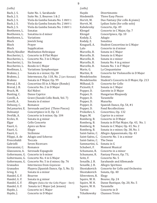#### *(cello)*

| $\mu$ corrected $\mu$ |                                             |
|-----------------------|---------------------------------------------|
| Bach, J. S.           | Suite No. 1, Sarabande                      |
| Bach, J. S.           | Suite No. 3, Bourees 1 & 2                  |
| Bach, J. S.           | Viola da Gamba Sonata No. 1 BWV 1           |
| Bach, J. S.           | Viola da Gamba Sonata No. 2 BWV 1           |
| Bach, J. S.           | Viola da Gamba Sonata No. 3 BWV 1           |
| Beethoven, L.         | Sonatas                                     |
| Beethoven, L.         | Sonatina in d minor                         |
| Beethoven, L.         | Variations                                  |
| Bloch                 | Jewish Song                                 |
| Bloch                 | Prayer                                      |
| Bloch                 | Supplication                                |
| Bloch/Kindler         | <b>Meditation Hebraique</b>                 |
| Boccherini, L.        | Concerto in B Flat Major                    |
| Boccherini, L.        | Concerto No. 3 in G Major                   |
| Boccherini, L.        | <b>Six Sonatas</b>                          |
| Boccherini, L.        | Rondo in C Major                            |
| Boellman, L.          | Variations Symphonique                      |
| Brahms, J.            | Sonata in e minor, Op. 38                   |
| Brahms, J.            | Intermezzo, Op. 118, No. 2 (arr. Kennan)    |
| <b>Brahms</b>         | Sonata in F Major, Op. 99                   |
| Breval, J. B.         | Concertino III in A Major (Rondo)           |
| Breval, J. B.         | Concerto No. 2 in D Major                   |
| Bruch, M.             | Kol Nidrei                                  |
| Bunting, C.           | Danse Caprice                               |
| Corelli, A.           | Grave (Suzuki Cello Book, Vol. 7)           |
| Corelli, A.           | Sonata in d minor                           |
| Debussy, C.           | Romance                                     |
| DeLamarter, E.        | Serenade and Jest (Three Pieces)            |
| Dohnanyi              | Concertpiece in D, Op. 12                   |
| Dvořák, A.            | Concerto in b minor, Op. 104                |
| Eccles, H.            | Sonata in g minor                           |
| Elgar                 | Cello Concerto                              |
| Faurè, G.             | Apres un Reve                               |
| Faurè, G.             | Elegie                                      |
| Faurè, G.             | Sicilienne                                  |
| Filippi, A. de        | Adagio and Scherzo                          |
| Frescobaldi           | Toccata                                     |
| Gabrielli             | <b>Seven Ricercars</b>                      |
| Giovannini, C.        | Romance                                     |
| Glazounow, A.         | Serenade Espagnole                          |
| Goltermann, G.        | Concerto in b minor                         |
| Goltermann, G.        | Concerto No. 4 in G Major                   |
| Goltermann, G.        | Concerto No. 5 in d minor, Op. 76           |
| Granados              | Intermezzo from Goyescas                    |
| Granados              | Playera (Spanish Dance, Op. 5, No. 5)       |
| Grieg, E.             | Sonata in a minor                           |
| Handel, G. F.         | Bourree                                     |
| Handel, G. F.         | Sonata in g minor                           |
| Handel, G. F.         | Allegro (Solos for the Cello Player - Deri) |
| Handel, G. F.         | Sonata in C Major (ed. Jensen)              |
| Haydn, J.             | Concerto in C Major                         |
| Haydn, J.             | Concerto in D Major                         |

#### 9

|--|

Haydn Divertimento<br>Hindemith Three Easy Pi Hindemith Three Easy Pieces<br>Horvit, M. Duo Fantasy (for c Duo Fantasy (for cello & piano) Horvit, M. Lydian Suite (for cello solo)<br>Kabelevsky Concerto, Op. 49 Kabelevsky Concerto, Op. 49<br>Klengel Concerto in C Ma Klengel Concerto in C Major, Op. 7<br>Klengel Concertpiece, Op. 10 Concertpiece, Op. 10<br>Adagio Kodaly, Z. Adagio Kodaly, Z.<br>Kouguell, A. Kouguell, A. Student Concertino in G Major<br>Lalo Concerto in d minor Lalo Concerto in d minor<br>Marcello, B. Sonata in C Major Marcello, B. Sonata in C Major<br>Marcello. B. Sonata in G Maior Marcello, B. Sonata in G Major<br>Marcello, B. Sonata in e minor Marcello, B. Sonata in e minor<br>Marcello, B. Sonata No. 4 in g r Marcello, B. Sonata No. 4 in g minor<br>Marcello, B. Sonata No. 1 in F Major Marcello, B. Sonata No. 1 in F Major<br>Marie, G. La Cinquantaine Marie, G. La Cinquantaine<br>Martini. B. Concerto for Viol Concerto for Violoncello in D Major Mendelssohn Sonatas<br>Mendelssohn Student' Mendelssohn Student's Concerto in D Major, Op. 213<br>Milhaud. D. Concerto for Cello Milhaud, D. Concerto for Cello<br>Picinetti, F. Sonata in C Major Picinetti, F. Sonata in C Major<br>Popper, D. Gavotte in D Major Popper, D. Gavotte in D Major<br>Popper, D. Hungarian Rhapso Hungarian Rhapsody<br>Tarantelle Popper, D. Tarantell<br>Popper, D. Mazurka Popper, D.<br>Popper, D. Popper, D. Spanish Dance, Op. 54, #1<br>Popper, D. Fond Recollections Popper, D. Fond Recollections<br>Prokofiev, S. Concertino, Op. 132 Prokofiev, S. Concertino, Op. 132<br>Reger, M. Caprice in a minor Reger, M. Caprice in a minor<br>Romberg, B. Concerto in D Majo Romberg, B. Concerto in D Major<br>Romberg, B. Sonata in B Flat Majo Romberg, B. Sonata in B Flat Major, Op. 43, No. 1<br>Romberg, B. Sonata in C Major, Op. 43, No. 2 Romberg, B. Sonata in C Major, Op. 43, No. 2<br>Romberg, B. Sonata in e minor, Op. 38, No. 1 Romberg, B. Sonata in e minor, Op. 38, No. 1<br>Saint-Saëns. C. Allegro Appassionato. Op. 43 Saint-Saëns, C. Allegro Appassionato, Op. 43 Concerto No. 1 in a minor<br>The Swan Saint-Saëns, C. Sammartini, G. Sonata in G<br>Schubert, F. Moment Mu Schubert, F. Moment Musical<br>Schumann. R. Concerto in a mir Schumann, R. Concerto in a minor<br>Schumann, R. Fantasy Pieces, Op. 7 Schumann, R. Fantasy Pieces, Op. 73,<br>Seitz, F. Concerto No. 5 Seitz, F. Concerto No. 5<br>Senaille, J. B. Sarabande and Senaille, J. B. Sarabande and Allemande<br>Senaille, J. B. Allegro Spiritoso Senaille, J. B. Allegro Spiritoso<br>Shostakovich Concerto for Celle Shostakovich Concerto for Cello and Orchestra<br>Shostakovich Sonata. On. 40 Sonata, Op. 40<br>Elegy Silversteen, R.<br>Squire, W. H. Bouree, Op. 24 Squire, W. H. Danse Rustique, Op. 20, No. 5<br>Squire. W. H. Tarantelle Squire, W. H.<br>Tartini Tartini Concerto in D<br>Tchaikowsky Chanson Trist **Chanson Triste**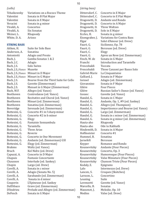#### *(cello)*

| Tchaikowsky  | Variations on a Rococo Theme |
|--------------|------------------------------|
| Valentini    | Sonata in B Flat Major       |
| Valentini    | Sonata in E Major            |
| Veracini     | Sonata in g minor            |
| Vivaldi, A.  | Concertos                    |
| Vivaldi, A.  | Six Sonatas                  |
| Weiner, L.   | Rhapsody                     |
| White, D. A. | Arioso                       |
|              |                              |

#### **STRING BASS**

Aitken, H. Suite for Solo Bass<br>Anderson, A. Sonatina Anderson, A.<br>Antoniotti Antoniotti Adagio and Presto<br>Bach, J. Gamba Sonatas 18 Gamba Sonatas 1 & 2<br>Adagio Bach, J.C.<br>Bach, J.S. Solo Suites Bach, J.S./Vance Musette Bach, J.S./Vance Minuet in D Major Bach, J.S./Vance Minuet in G Major<br>Bach, J.S. Bouree from the T Bach, J.S. Bouree from the Third Suite for Cello<br>Bach, J.S. Gavotte (Zimmerman) Bach, J.S. Gavotte (Zimmerman)<br>Bach, J.S. Menuet in G Major (Zin Bach, J.S. Menuet in G Major (Zimmerman)<br>Bach, W.F. Allegro (ed. Vance) Bach, W.F. Allegro (ed. Vance)<br>Beethoven Contredanse (ed. Va Beethoven Contredanse (ed. Vance)<br>Beethoven Recitative and Choral (ed Beethoven Recitative and Choral (ed. Vance)<br>Beethoven Minuet (ed. Zimmerman) Beethoven Minuet (ed. Zimmerman)<br>Beethoven Sonatina (ed. Zimmerman Beethoven Sonatina (ed. Zimmerman)<br>Beveridge Serenade (ed. Zimmerman) Beveridge Serenade (ed. Zimmerman)<br>Bottesini, G. Concerto #1 in f sharp mino Bottesini, G. Concerto #1 in f sharp minor<br>Bottesini, G. Concerto #2 in b minor  $\frac{B}{B}$  Concerto #2 in b minor Bottesini, G.<br>Bottesini, G. Fantaisie Sonnambula<br>Tarantella Bottesini, G. Tarantella<br>Bottesini, G. Three Arias Bottesini, G. Three A.<br>Bottesini, G. Reverie Bottesini, G.<br>Bottesini, G. Bottesini, G. Concerto in One Movement<br>Bottesini, G. Andante (ed. Zimmerman) ( Bottesini, G. Andante (ed. Zimmerman) GSI<br>Bottesini, G. Elegy (ed. Zimmerman) Bottesini, G. Elegy (ed. Zimmerman)<br>Brahms Waltz (ed. Vance) Brahms Waltz (ed. Vance)<br>Bruch Kol Nidre (ed. Dre Bruch Kol Nidre (ed. Drew)<br>Capuzzi, A. Concerto in D Major Capuzzi, A. Concerto in D Major<br>Chapuis Fantasie Concertante Chapuis Fantasie Concertante<br>Chausson Interlude (ed. Sankev Chausson Interlude (ed. Sankey)<br>Chopin Largo (ed. Drew) Chopin Largo (ed. Drew)<br>Corelli, A. Sonata in c minor Corelli, A. Sonata in c minor<br>Corelli, A. Adagio (Sonata No Corelli, A. Adagio (Sonata No. 5)<br>Corelli, A. Sarabande (ed. Zimme Corelli, A. Sarabande (ed. Zimmerman)<br>Corelli, A. Sonata in d minor Sonata in d minor Couperin L'Epineuse (ed. Sankey<br>Dall'Abaco Grave (ed. Zimmerman) Dall'Abaco Grave (ed. Zimmerman)<br>D'Andrieu Prelude and Allegro (ed. D'Andrieu Prelude and Allegro (ed. Zimmerman)<br>DeFesch Sonata in G Major Sonata in G Major

#### *(string bass)*

Dittersdorf, C. Concerto in E Major<br>Dittersdorf, C. Concerto in E Flat M Dittersdorf, C. Concerto in E Flat Major<br>Dragonetti, D. Andante und Rondo Dragonetti, D. Andante und Rondo<br>Dragonetti, D. Concerto in A Major Concerto in A Major<br>Three Waltzes Dragonetti, D. Three Waltzes Dragonetti, D.<br>Eccles, H. Eccles, H. Sonata in g minor<br>Eisengraber, J. Variations for Con Eisengraber, J. Variations for Contra Bass<br>Elgar Salut d'Amour (ed. Drew) Elgar Salut d'Amour (ed. Drew)<br>Faurè, G. Sicilienne, Op. 78 Faurè, G. Sicilienne, Op. 78<br>Faurè. G. Berceuse (ed. Dre Berceuse (ed. Drew)<br>Elegy Faurè, C.<br>Faurè. G. Faurè, G. (Apres un Reve (ed. Zimmerman)<br>Fesch, W. de (Sonata in G Major Fesch, W. de Sonata in G Major<br>Franchi lntroduction and T Introduction and Tarantelle<br>Toccata Frescobaldi<br>Frescobaldi Frescobaldi Three Canzoni per Basso Solo<br>Gabriel-Marie La Cinquantaine Gabriel-Marie La Cinquantaine<br>Galliard, J. Sonata in F Majo Galliard, J. Sonata in F Major Geissel (Galagio (ed. Zimmerman)<br>Giovannino (Sonata in F Maior Giovannino Sonata in F Major<br>Glière Four Pieces Glière Four Pieces<br>Glière Russian Sail Glière Russian Sailor's Dance (ed. Vance)<br>Gassec Gavotte (ed. Vance) Gossec Gavotte (ed. Vance)<br>Handel. G. Sonata in C Maior Handel, G. Sonata in C Major<br>Handel, G. Andante, Op. 1, #9 Handel, G. Andante, Op. 1, #9 (ed. Sankey)<br>Handel, G. Allegro (ed. Thompson) Handel, G. Allegro (ed. Thompson)<br>Handel, G. Impertinence and Boure Handel, G. Impertinence and Bouree (ed. Vance)<br>Handel, G. Largo (ed. Zimmerman) Handel, G. Largo (ed. Zimmerman)<br>Handel, G. Sonata in c minor (ed. Zi Handel, G. Sonata in c minor (ed. Zimmerman)<br>Handel, G. Sonata in g minor (ed. Zimmerman) Handel, G. Sonata in g minor (ed. Zimmerman)<br>Hauta-aho Rhapsody Hauta-aho Rhapsody Hauta-aho Ode to Rabbath<br>Hindemith, D. Sonata in A Majo Hindemith, D. Sonata in A Major Concerto #1<br>Sonatina Hummel, B. Sonatina<br>Iarnefelt Berceuse Jarnefelt<br>Keyper Romance and Rondo Koussevitzky Andante (Four Pieces)<br>Koussevitzky Concerto, Op. 3 Koussevitzky Concerto, Op. 3<br>Koussevitzky Humoresque (F Koussevitzky Humoresque (Four Pieces) Koussevtizky Valse Miniature (Four Pieces) Chanson Triste (Four Pieces)<br>Epigrams Kodaly, Z.<br>Lalo Lalo Intermezzo (ed. Drew)<br>Lancen, S. Croques (Sketches) Lancen, S. Croques (Sketches)<br>Larsson, L. Concertino Concertino<br>Suite Leuning Lorenzetti Gavotte (ed. Vance)<br>Marcello, B. Sonatas Marcello, B.<br>Massenet, J. Massenet, J. Melodie, Op. 10<br>Medins Valse (ed. Drew) Valse (ed. Drew)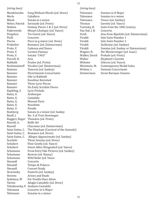#### *(string bass)*

| Mendelssohn     | Song Without Words (ed. Drew)          |
|-----------------|----------------------------------------|
| Merle           | Caballero                              |
| Misek           | Sonata in e minor                      |
| Neher, Patrick  | Serenade (ed. Proto)                   |
| Nielsen         | Fantasy Pieces 1 & 2 (ed. Drew)        |
| Paderewski      | Minuet L'Antique (ed. Vance)           |
| Pergolesi       | Tre Giorni (ed. Vance)                 |
| Pichl           | Concerto                               |
| Pierne          | Piece in g minor (ed. Drew)            |
| Prokofiev       | Romance (ed. Zimmerman)                |
| Proto, F.       | <b>Cadenza and Dance</b>               |
| Proto, F.       | Carmen Fantasy                         |
| Proto, F.       | Sonata "1963"                          |
| Purcell, H.     | Aria                                   |
| Rabbath         | Prades (ed. Proto)                     |
| Rachmaninoff    | Vocalise (ed. Zimmerman)               |
| Rameau          | Tamorin (ed. Sankey)                   |
| Ramsier         | Divertimento Concertante               |
| Ramsier         | Ode to Rabbath                         |
| Ramsier         | <b>Eusebius Revisited</b>              |
| Ramsier         | Three Lyric Pieces                     |
| Ramsier         | <b>Six Early Scriabin Pieces</b>       |
| Raphling, S.    | Lyric Prelude                          |
| Ratez, E.       | Arabesque                              |
| Ratez, E.       | Cantabile                              |
| Ratez, E.       | <b>Menuet Varie</b>                    |
| Ratez, E.       | Novelette                              |
| Ratez, E.       | Parade                                 |
| Romberg         | Sonata in e minor (ed. Sankey          |
| Rueff, J.       | No. 3 of Trois Hommages                |
| Ruggeri, Roger  | Thanatos (ed. Proto)                   |
| Russell, A.     | <b>Buffo Set</b>                       |
| Russell         | Chaconne (ed. Zimmerman)               |
| Saint-Saëns, C. | The Elephant (Carnival of the Animals) |
| Saint-Saëns, C. | Romance (ed. Drew)                     |
| Saint-Saëns, C. | Allegro Appassionato (ed. Sankey)      |
| Scarlatti       | Three Sonatas (ed. Drew)               |
| Schubert        | Flow Gently (ed. Vance)                |
| Schubert        | Sweet Alfon Wiegenlied (ed. Vance)     |
| Schumann        | From Fairy-Tale Pictures (ed. Sankey)  |
| Schumann        | Reverie (ed. Nanny)                    |
| Schumann        | Wild Rider (ed. Vance                  |
| Simandl         | Concerto                               |
| Simandl         | Tempo di Polacco                       |
| Simandl         | <b>Concert Study</b>                   |
| Stravinsky      | Pastorle (ed. Sankey)                  |
| Stevens         | <b>Arioso and Etude</b>                |
| Sydemna, W      | For Double Bass Alone                  |
| Tartini         | Adagio Cantabile (ed. Drew)            |
| Tchaikowsky, P. | Andante Cantabile                      |
| Telemann        | Concerto in G Major                    |
| Telemann        | Sonatas in a minor                     |
|                 |                                        |

#### *(string bass)*

Telemann Sonatas in D Major<br>Telemann Sonatas in e minor Telemann Sonatas in e minor<br>Telemann Vivace (ed. Sankey) Telemann Vivace (ed. Sankey)<br>Thomas Gavotte (ed. Vance) Thomas Gavotte (ed. Vance)<br>Turetzky, B. Suite from the 18th Suite from the 18th Century<br>Concerto Van Hal, J. B.<br>Verdi Verdi Aria from *Rigoletto* (ed. Zimmerman) Vivaldi Solo Suite Number 1<br>Vivaldi Solo Suite Number 2 Vivaldi Solo Suite Number 2<br>Vivaldi Sicilienne (ed. Sanker Vivaldi Sicilienne (ed. Sankey)<br>Vivaldi Sonatas (ed. Sankey or Vivaldi Sonatas (ed. Sankey or Zimmerman)<br>Wagner, R. Die Meistersinger (ed. Isaac) Wagner, R. Die Meistersinger (ed. Isaac)<br>Walker, David Prelude (ed. Proto) Walker, David Prelude (ed. Proto)<br>Walter Blephant's Gavotte Walter Elephant's Gavotte<br>Webster Scherzo (ed. Vance) Webster Scherzo (ed. Vance)<br>Weinstein, M. Contemporary Moda Weinstein, M. Contemporary Modal Solos<br>Widner, I. Fantasie Concertante Widner, I. Fantasie Concertante<br>Zimmerman Seven Baroque Sonata Seven Baroque Sonatas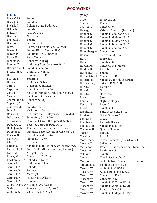## **WOODWINDS**

#### **FLUTE**

Bach, C.P.E. Sonatas<br>Bach, I. S. Sonatas Bach, J. S.<br>Bach, J. S. Polonaise and Badineire<br>Sonata Baker, M.<br>Baksa, R. Baksa, R. Aria Da Capo Nocturne<br>Sonata Bartow, N.<br>Beethoven, L Beethoven, L Serenade, Op. 8<br>Bizet, G. Carmen Fantais Bizet, G. Carmen Fantaisie (ed. Bourne)<br>Blavet, M. Sonata III (La Dherouville) Blavet, M. Sonata III (La Dherouville)<br>Blavet, M. Sonata IV (La Lumagne) Blavet, M. Sonata IV (La Lumagne)<br>Bloch. E. Suite Modale Bloch, E. Suite Modale<br>Blodek, W. Concerto in D Blodek, W. Concerto in D, Op. 27<br>Boehm, T. Andante (First Conce Boehm, T. Andante (First Concerto, Op. 1)<br>Boismortier, J. Sonata in e minor Boismortier, J. Sonata in e minor<br>Briccialdi, G. Carnival of Venice Briccialdi, G. Carnival of Venice<br>Brun Romance, Op. 41 Romance, Op. 41<br>Sonatina Burton, E.<br>Busser, H. Busser, H. Prelude et Scherzo<br>Camus Chanson et Badiner Camus Chanson et Badinerie<br>Caplet, A. Reverie and Petite Val Caplet, A. Reverie and Petite Valse<br>Casella Scherzo from Barcarola Casella Scherzo from Barcarola and Scherzo<br>Casella Sicilienne et Burlesque Casella Sicilienne et Burlesque<br>Chaminade, C. Concertino, Op. 107 Concertino, Op. 107<br>Duo Copland, A.<br>Corrette, M. Corrette, M. Sonate, Op. 13<br>Dahl. I. Variations (Corre Dahl, I. Variations (Couperin Air)<br>Dekker, L. Les nuits d'ete (play mvt. Dekker, L Les nuits d'ete (play mvt. 1 OR mvt. 3)<br>DeLorenzo, L. Scherzino, Op. 18 No. 1 DeLorenzo, L. Scherzino, Op. 18 No. 1<br>de Roxlo, G. [ota No. 3 (from the Spa de Roxlo, G. Jota No. 3 (from the Spanish Suite)<br>Debussy, C. Secon Arabesque DUR, MMU Debussy, C. Secon Arabesque DUR, MMU<br>Dello Joio, N. The Developing Flutist (2 my Dello Joio, N. The Developing Flutist (2 mvts.)<br>Doppler, F. Fantaisie Pastorale Hongroise, O Doppler, F. Fantaisie Pastorale Hongroise, Op. 26<br>Enesco, G. Cantabile and Presto Enesco, G. Cantabile and Presto<br>Faure. G. Fantasie. Op. 79 Faure, G. Fantasie, Op. 79<br>Filas, T. Chanson Filas, T. Chanson<br>Finger, G. Sonata in Finger, G. Sonata in d minor (one slow/one fast mvt.)<br>Fitzgerald, B. Four Gaelic Miniatures (any 2 mvts.) Fitzgerald, B. Four Gaelic Miniatures (any 2 mvts.)<br>Foote, A. A Night Piece Foote, A. A Night Piece<br>Frank, M. Concerto in C Concerto in  $C$  (2 mvts.) Frackenpohl, A. Ballad and Tango Andante et Scherzo<br>Ballade Gaubert, P. Ballade<br>Gaubert, P. Fantasy Gaubert, P. Fantasy<br>Gaubert, P. Madrigal Gaubert, P.<br>Gaubert, P. Nocturne et Allegro<br>Romance Gaubert, P. Gliere/Wummer Melodie, Op. 35, No. 1<br>Godard, B. Allegretto, Op. 116, No. Godard, B. Allegretto, Op. 116, No. 1<br>Godard, B. Valse, Op. 116, No. 3 Valse, Op. 116, No. 3

#### *(flute)*

| Intervention                         |
|--------------------------------------|
| Poem                                 |
| Concertino                           |
| Valse de Concert (La Jiuve)          |
| Sonata in e minor No. 1              |
| Sonata in G Major No. 3              |
| Sonata in C Major No. 4              |
| Sonata in b minor No. 6              |
| Sonata in a minor No. 7              |
| Hanneberg, A.<br>Concertino          |
| Serenade, Op. 35                     |
| In Ireland                           |
| Sonata in G                          |
| Concerto in D Major                  |
| <b>Five Short Pieces</b>             |
| Sonata                               |
| Hoffmeister, F.<br>Concerto in D     |
| Sonata #2 for Flute & Piano          |
| Suite in D, SY 638                   |
| Fantaisie                            |
| Gigue                                |
| Nocturne                             |
| Jeux                                 |
| Night Soliloquy                      |
| Legend                               |
| Sonata in C                          |
| Suite in Ancient Style               |
| Grand Solo No. 1                     |
| Gigue                                |
| Fantasia Brevis                      |
| Sonata in e minor                    |
| Quattro Sonate                       |
| <b>Ballade</b>                       |
| <b>First Sonata</b>                  |
| Twelve Sonatas (#2, #3, or #4        |
| Soliloquy                            |
| Rondo Russo from Concerto in e minor |
| Le Merle Noir                        |
| Sonatine                             |
| The Swiss Shepherd                   |
| Andante from Concerto in D minor     |
| La Flute de Pan No. 3                |
| Andante in C, K315                   |
| Adagio Religioso, K.622              |
| Concerto in D#2                      |
| Concerto in G                        |
| Sonata in D Major, K285              |
| Sonata in A Major, K298              |
| Rondo in D K373                      |
| Sonata in C Major, K285b             |
|                                      |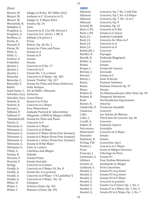#### *(flute)*

Mozart, W. Adagio in B-dur, KV 300k (332)<br>Mozart, W. Andante in F (Concerto in C) Mozart, W. Andante in F (Concerto in C)<br>Mozart, W. Adagio in E Major, K261 Mozart, W. Adagio in E Major, K261<br>Muczynski, R. Sonata, Op. 14 Sonata, Op. 14<br>Suite Nelhybel, V.<br>Pergolesi, G. Pergolesi, G. Concerto in D (1st OR 3rd mvt.)<br>Pergolesi, G. Concerto in G (mvts. 1 OR 3) Pergolesi, G. Concerto in G (mvts. 1 OR 3)<br>Perilhou, A. Ballade (24 pieces-) Ballade (24 pieces-)<br>Prism Perttu, D.<br>Pessard, E. Pessard, E. Bolero, Op. 28, No. 2<br>Piston, W. Sonata for Flute and Piston, W. Sonata for Flute and Piano<br>Platti, G. Sonata in A Platti, G. Sonata in A<br>Platti, G. Sonata in D Sonata in D<br>Sonata Poulenc, F. Sonata<br>Prokofiev Sonata Prokofiev<br>Quantz, J. Quantz, J. Concerto in D No. 17<br>Quantz, J. Concerto in G Quantz, J. Concerto in G<br>Quantz, J. Sonata No. 1 i Quantz, J. Sonata No. 1 in a minor<br>Reinecke Concerto in D Maior. On Reinecke Concerto in D Major, Op. 283<br>Reinecke, C. Sonata "Undine", Op. 167 Reinecke, C. Sonata "Undine", Op. 167<br>Revnolds, V. Sonata for Flute and Pian Reynolds, V. Sonata for Flute and Piano (Scherzo) Suite Antique Saint-Saens, C. Air de Ballet d'Ascania Schocker, Gary Airborne Schocker, Gary Green Places<br>Stamitz, K. Konzert in D-Stamitz, K. Konzert in D-dur<br>Stamitz, K. Concerto in G Ma Stamitz, K. Concerto in G Major<br>Stewart J. Four Dimensions Stewart J. Four Dimensions<br>Taffanel, P. Andante Pastoral Taffanel, P. Andante Pastoral & Scherzettino<br>Taffanel, P. Allegretto (1890) & Allegro (188 Taffanel, P. Allegretto (1890) & Allegro (1885)<br>Taktakishvilli Sonata for Flute and Piano Taktakishvilli Sonata for Flute and Piano<br>Tartini, G. Concerto in G Tartini, G. Concerto in G<br>Telemann, G. Sonata in CM Telemann, G. Sonata in C Major<br>Telemann, G. Concerto in D Maj Telemann, G. Concerto in D Major<br>Telemann, G. Sonata in F Maior (fr Telemann, G. Sonata in F Major (from Four Sonatas)<br>Telemann, G. Sonata in G Major (from Four Sonatas) Telemann, G. Sonata in G Major (from Four Sonatas)<br>Telemann, G. Sonata in c minor (from Four Sonatas) Telemann, G. Sonata in c minor (from Four Sonatas)<br>Telemann, G. Sonata in B-flat Major Telemann, G. Sonata in B-flat Major<br>Telemann, G. Suite in a minor Telemann, G. Suite in a minor<br>Thiele, S. Cantilena and Al Cantilena and Allegro<br>Aubade Vachey, H.<br>Veracini, F. Veracini, F. Sonata Prima<br>Veracini, F. Sonata Secono Veracini, F. Sonata Seconda<br>Verhgy Concerto in d mi Verhgy Concerto in d minor<br>Vivaldi, A. Concerto in G Major, Vivaldi, A. Concerto in G Major, F6, No. 8<br>Vivaldi, A. Sonata No. 6 in g minor Vivaldi, A. Sonata No. 6 in g minor<br>Vivaldi, A. Concerto in D Major ("I Vivaldi, A. Concerto in D Major ("Il Cardellino") Concerto in G Major, No. 16<br>Glimpses White, D.<br>Widor, C. Widor, C. Scherzo (Suite, Op. 34)<br>Widor, C. Romance (Suite, Op. 34) Romance (Suite, Op. 34)

#### **OBOE**

Albinoni Concerto, Op. 7 No. 3 inB-Flat<br>Albinoni Concerto, Op. 7, No. 6 D Major Albinoni Concerto, Op.7, No. 6 D Major<br>Albinoni Concerto, Op. 7, No. 12 in C Albinoni Concerto, Op. 7, No. 12 in C<br>Albinoni Concerto, Op. 9 Albinoni Concerto, Op. 9<br>Arnold. M. Sonatina. Op. 41 Arnold, M. Sonatina, Op. 41<br>Bach, C.P.E. Concerto in E-fla Bach, C.P.E. Concerto in E-flat<br>Bach, C.P.E. Sonata in G minor Bach, C.P.E. Sonata in G minor<br>Bach, J.C. Andante Cantabile Bach, J.C. Andante Cantabile<br>Bach, J.S. Concerto for Oboe Bach, J.S. Concerto for Oboe in F<br>Bach, J.S. Concerto in A Bach, J.S. Concerto in A<br>Bach, J.S. Concerto in D Concerto in D<br>Concerto Barbirolli, J. Concerto<br>Bariller, R. Paysages Bariller, R.<br>Bartók, B. Dudosak (Bagpiper)<br>Concerto Bellini, G.<br>Benda Benda Sonata<br>Berger, J. Sonata Sonata de Camera<br>Serenade Bertain, J.<br>Besozzi Besozzi Sonata in C<br>Bitsch, J. Suite Franca Bitsch, J. Suite Francais<br>Bozza Fantasie Italien Bozza Fantasie Italienne<br>Bozza Fantasie Pastoral. Bozza Fantasie Pastoral, Op. 37 Bozza Sonata<br>Britten, B. Six Met Britten, B. Six Metamorphoses After Ovid, Op. 49<br>Britten. B. Temporal Variations Britten, B. Temporal Variations<br>Bush Northumbrian Impre Northumbrian Impressions<br>Asturias Busser, H.<br>Chedeville, P. Troisieme Sonatille<br>Concerto Cimarosa<br>Colin Colin Les Echoes de Marnes<br>Colin. C. Third Solo De Concert. Third Solo De Concert, Op. 40<br>Concerto Corelli, A.<br>Dallier. H. Fantaisie Caprice<br>Giovialita DeLorenzo<br>Dittersdorf Concerto in G Major<br>Sonata Donizetti Sonata<br>Duttileux, H. Sonata Duttileux, H.<br>Ferling, F.W. Concertino, Op.5 Fischer, J. Concerto in C Major<br>Foret Grave et Allegro Gioo Foret Grave et Allegro Giocosco<br>Francaix, J. L'Horloge de Flore L'Horloge de Flore<br>Sonata #1 Geminiani, G.<br>Gibilaro Gibilaro Four Sicilian Miniatures<br>Grovlez, G. Sarabande et Allegro Grovlez, G. Sarabande et Allegro<br>Guilhaud, G. First Concertino Guilhaud, G. First Concertino<br>Handel. G. Sonata #1 in g m Handel, G. Sonata #1 in g minor<br>Handel, G. Sonata #2 in g minor Handel, G. Sonata #2 in g minor<br>Handel. G. Sonata #3 in F Maior Handel, G. Sonata #3 in F Major<br>Handel, G. Concerto in g minor Handel, G. Concerto in g minor<br>Handel. G. Sonata I in d minor. Handel, G. Sonata I in d minor, Op. 1, No. 2<br>Handel, G. Sonata II in e Minor, Op. 1, No. 4 Handel, G. Sonata II in e Minor, Op. 1, No. 4<br>Handel, G. Sonata III in G Major, Op. 1, No. 7 Sonata III in G Major, Op. 1, No. 7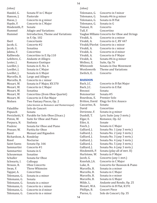*(oboe)*

Handel, G. Sonata IV in C Major<br>Hanson, J. Pastorale Hanson, J.<br>Hasse, J. Hasse, J. Concerto in g minor<br>Haydn, F. Concerto in C Major Concerto in C Major<br>Sonate Hindemith, P.<br>Hummel Hummel Adagio and Variations<br>Hummel Introduction. Theme a Introduction, Theme and Variations in F, Op. 102 Ibert Concertante<br>
Jacob, G. Concerto #2 Concerto #2<br>Sonatina Jacob, G.<br>Jakma, F. Jakma, F. Concertino<br>Kalliwoda Concertino Kalliwoda Concertino in F, Op.110<br>Lefebvre, C. Andante et Allegro Lefebvre, C. Andante et Allegro<br>Lester, J. Romance Exotique Lester, J. Romance Exotique<br>Loeillet, J. Sonata in E, No. 6 Loeillet, J. Sonata in E, No. 6<br>Loeillet, J. Sonata in C Major Loeillet, J. Sonata in C Major<br>Loeillet, J. Sonata in G Major Loeillet, J. Sonata in G Major<br>Marcello, B. Largo and Allegro Marcello, B. Largo and Allegro<br>Marcello, B. Concerto in c mino Marcello, B. Concerto in c minor<br>Mozart, W. Sonata in F Major, K! Mozart, W. Sonata in F Major, KV.370<br>Mozart, W. Concerto in C Major Concerto in C Major<br>Sonatina Mozart, W.<br>Mozart, W. Mozart, W. Concertino (from Oboe Quartet)<br>Mozart, W. Concerto in E flat Major Mozart, W. Concerto in E flat Major<br>Nielsen Two Fantasy Pieces. Op. Two Fantasy Pieces, Op. 2 (also known as Romance and Humoresque) Paladilhe Solo de Concert<br>Penusch Sonata Pepusch<br>Persichetti, V. Persichetti, V. Parable for Solo Oboe (Unacc.)<br>Piston, W. Suite for Oboe and Piano Suite for Oboe and Piano<br>Sinfonia Porpura, N.<br>Poulenc Poulenc Sonata for Oboe and Piano<br>Presser, W. Partita for Oboe Presser, W. Partita for Oboe<br>Ravel Menuet and Riga Menuet and Rigaudon Richardson, A. Rondelay<br>Rosel Mocturne Rosel Nocturne<br>Saint-Saens Sonata Op Saint-Saens Sonata Op. 166<br>Sammartini Concerto #1 Concerto #1<br>Sonata in G Sammartini Sonata in<br>Schouwman Sonatine Schouwman<br>Schuller Sonata for Oboe<br>Colloquy Schwartz, I.<br>Strauss, R. Strauss, R. Oboe Concerto<br>Swan, F. Three Whimsie Three Whimsies<br>Concertino Tapper, A.<br>Telemann, G. Sonata in a minor<br>Sonata Telemann, G.<br>Telemann, G. Telemann, G. Sonata in a minor<br>Telemann, G. Concerto in c minor Telemann, G. Concerto in c minor<br>Telemann, G. Concerto in d minor Telemann, G. Concerto in d minor<br>Telemann, G. Concerto in e minor Concerto in e minor

#### *(oboe)*

| Telemann, G. | Concerto in f minor                            |
|--------------|------------------------------------------------|
| Telemann, G. | Sonata #6 in g minor                           |
| Telemann, G. | Sonata in B Flat                               |
| Telemann, G. | Sonata in G                                    |
| Tomasi, H.   | Concerto                                       |
| Tull, F.     | Concertino                                     |
|              | Vaughan Williams Concerto for Oboe and Strings |
| Vivaldi, A.  | Concerto in a minor                            |
| Vivaldi, A.  | Concerto in C, RV 447                          |
|              | Vivaldi/Pierlot Concerto in c minor            |
| Vivaldi, A.  | Concerto in c minor                            |
| Vivaldi, A.  | Concerto in d minor                            |
| Vivaldi, A.  | Concerto in F Major                            |
| Vivaldi, A.  | Sonata #6 in g minor                           |
| Wellesz, E.  | Suite, Op.76                                   |
| Whitcomb     | Sonata in One Movement                         |
| Wordsworth   | Theme and Variations                           |
| Zwilich, E.  | Concerto                                       |
|              |                                                |

#### **BASSOON**

| Bach, J.C.         | Concerto in B flat Major     |
|--------------------|------------------------------|
| Bach, J.C.         | Concerto in E flat           |
| Besozzi            | Sonata                       |
| <b>Boismortier</b> | Sonata #5                    |
| Bourdeau, E.       | Premier Solo                 |
| Britton, David     | <b>Elegy for Eric Anasco</b> |
| Cascarino, R.      | Sonata                       |
| David              | Concertino                   |
| Devienne, F.       | Sonata in g minor            |
| Dunhill, T.        | Lyric Suite (any 3 mvts.)    |
| Elgar, E.          | Romance, Op. 62              |
| Etler, A.          | Sonate                       |
| Fasch, J.          | Sonata in C Major            |
| Galliard, J.       | Sonata No. 1 (any 3 mvts.)   |
| Galliard, J.       | Sonata No. 2 (any 3 mvts.)   |
| Galliard, J.       | Sonata No. 3 (any 3 mvts.)   |
| Galliard, J.       | Sonata No. 4 (any 3 mvts.)   |
| Galliard, J.       | Sonata No. 5 (any 3 mvts.)   |
| Galliard, J.       | Sonata No. 6 (any 3 mvts.)   |
| Hindemith, P.      | Sonata (play all of mvt. II) |
| Hurlstone, W.      | Sonata in F Major            |
| Jacob, G.          | Concerto (any 1 mvt.)        |
| Kozeluh, J.A.      | Concerto in C Major          |
| Luke, R.           | Concerto for Bassoon & Piano |
| Marcello, B.       | Sonata in a minor            |
| Marcello, B.       | Sonata in C Major            |
| Marcello, B.       | Sonata in e minor            |
| Marcello, B.       | Sonata in G Major            |
| Milde, L.          | Andante and Rondo, Op. 25    |
| Mozart, W.A.       | Concerto in B Flat, K191     |
| Phillips, B.       | <b>Concert Piece</b>         |
| Pierne, G.         | Solo de Concert, Op. 35      |
|                    |                              |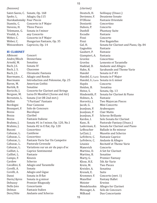## *(bassoon)*

| Spohr, L.                        | Saint-Saens, C. Sonate, Op. 168<br>Adagio, Op.115 |
|----------------------------------|---------------------------------------------------|
| <b>Starokadomsky Four Pieces</b> |                                                   |
| Stamitz, C.                      | Concerto in F Major                               |
| Stevens, H.                      | <b>Three Pieces</b>                               |
| Telemann, G.                     | Sonata in f minor                                 |
| Vivaldi, A.                      | any Concerto                                      |
| Weber, C.                        | Concerto in F Major                               |
| Weber, C.                        | Hungarian Fantasie, Op. 35                        |
| Weissenborn                      | Capriccio, Op. 14                                 |

## **B**b **CLARINET**

| Albinoni       | Concert                                  |
|----------------|------------------------------------------|
| Andre/Bloch    | Dennerlana                               |
| Arnold, M.     | Sonatina                                 |
| Bach, J.S.     | Sonata IV                                |
| Bach, J. S.    | Chaconne                                 |
| Bach, J.S.     | Chromatic Fantasia                       |
| Baermann, C.   | Adagio and Rondo                         |
| Baermann       | Introduction and Polonoise, Op. 25       |
| Baron, M.      | American Gothic                          |
| Bartók, B.     | Sonatine                                 |
| Bavicchi, J.   | <b>Concerto for Clarinet and Strings</b> |
| Bergson, M.    | Luisa Di Montfort (Scene and Air)        |
| Bernstein, L.  | Sonata (1st OR 2nd mvt.)                 |
| <b>Bellini</b> | "I Puritani" Fantasie                    |
| Bordogni       | <b>Four Canzone</b>                      |
| Bousquet, F.   | Solo de Concours                         |
| <b>Bozza</b>   | Bucolique                                |
| Bozza          | Claribel                                 |
| <b>Bozza</b>   | <b>Fantasie Italiene</b>                 |
| Brahms, J.     | Sonata #1 in f minor, Op. 120, No.1      |
| Brahms, J.     | Sonata #2 in E flat, Op. 120             |
| Busoni         | Concertino                               |
| Cahuzac, L.    | Cantilene                                |
| Cahuzac, L.    | Concertino                               |
| Cahuzac, L.    | Fantasie Varie Sur Un Campetre           |
| Cahuzac, L.    | Pastorale Cevenole                       |
| Cahuzac, L.    | Variations sur un air du pays d'oc       |
| Cailliet, L.   | Caprice Sentimental                      |
| Cailliet, L.   | Fantasie                                 |
| Campo, F.      | Kinesis                                  |
| Cardew         | Scherzo                                  |
| Cavallini, E.  | <b>Adagio and Tarantelle</b>             |
| Corelli, A.    | Sonata                                   |
| Corelli, A.    | Adagio and Gigue                         |
| Danzi          | Sonata in B flat                         |
| Davis/Ayres    | Sonata in g minor                        |
| Debussy        | Premier Rhapsody                         |
| Dello Joio     | Concertante                              |
| Delmas         | Fantasie Italien                         |
| Dere/Hite      | <b>Andante and Scherzo</b>               |

## *(clarinet)*

| Deutsch, H.   | Soliloquy (Unacc.)                    |
|---------------|---------------------------------------|
| Devienne, F.  | Deuxieme Sonate                       |
| D'Ollone      | <b>Fantasie Orientale</b>             |
| Donizetti     | Concertino                            |
| Dubois, P.    | Concerto                              |
| Dunhill       | <b>Phantasy Suite</b>                 |
| Escudie       | Fantasie                              |
| Finzi         | Concerto                              |
| Finzi         | <b>Five Bagatelles</b>                |
| Gal, H.       | Sonata for Clarinet and Piano, Op. 84 |
| Gagnebin      | Fantasie                              |
| Gaubert, P.   | Fantasie                              |
| Giampieri, A. | Fantasia                              |
| Grovlez       | Concertino                            |
| Grovlez       | Lemento et Tarantelle                 |
|               |                                       |
| Haddad, D.    | Andante and Allegro                   |
| Hahn, R.      | Sarabande and Theme Varie             |
| Handel        | Sonata in F#3                         |
|               | Handel, G /Lurie Sonata in F Major    |
|               | Handel, G /Lurie Sonata in G minor    |
| Haydn         | Concerto                              |
| Heiden, B.    | Sonatina                              |
| Heine, S.     | Sonata, Op. 13                        |
| Hindemith, P. | Sonata for Clarinet & Piano           |
| Holmes, A.    | Fantasie                              |
| Horovitz, J.  | Two Majorcan Pieces                   |
| Jacob, G.     | Mini Concerto                         |
| JeanJean, P.  | Arabesques                            |
| JeanJean, P.  | <b>Clair Matin</b>                    |
| JeanJean, P.  | Scherzo Brillante                     |
| Kardos, I.    | Solo Sonata for Clarinet              |
| Kunc, B.      | Pastorale Fantasy (Unacc.)            |
| Laderman, E.  | Sonata for Clarinet and Piano         |
| LeBoucher     | Ballade in Re mineur                  |
| LeClair, J.   | Musette and Scherzo                   |
| LeFebvre, C.  | <b>Fantasie Caprice</b>               |
| LeFebvre, C.  | Andante & Allegro                     |
| Litaizie      | Recitatif et Theme Varie              |
| Manevich      | Concerto                              |
| Martino, D.   | A Set for Clarinet                    |
| Martinu, B.   | Sonatine                              |
| Marty, G.     | Premier Fantasy                       |
| Klose, H.E.   | 5th Air Varie                         |
| Krein, M.     | <b>Two Pieces</b>                     |
| Kreisler, A.  | Sonatina                              |
| Krenek, E.    | Suite                                 |
| Krommer, F.   | Concerto (mvt. 1)                     |
| Mazellier     | <b>Fantasy Ballet</b>                 |
| Meister       | Erwinn                                |
| Mendelssohn   | Allegro for Clarinet                  |
| Messager, A.  | Solo de Concours                      |
| Milhaud       | Duo Concertante                       |
|               |                                       |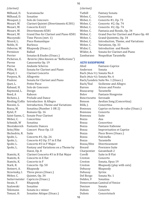*(clarinet)*

Milhaud, D. Scaramouche<br>Milhaud, D. Sonatine Milhaud, D.<br>Mouquet, J. Mouquet, J. Solo de Concours<br>Mozart, W. Clarinet Quintet ( Mozart, W. Clarinet Quintet (Divertimento K.581) Mozart, W. Concerto K.622<br>Mozart. W. Divertimento K. Mozart, W. Divertimento K581<br>Mozart, W. Grand Duo for Clari Mozart, W. Grand Duo for Clarinet and Piano K581<br>Muczynski Time Pieces (myt. 1) Muczynski Time Pieces (mvt. 1)<br>Niverd. L. Piece Romantique Piece Romantique<br>Burlesca Noble, H.<br>Osborne. W. Rhapsody (Unacc.)<br>Ballad Perminov<br>Perrier Perrier Sonatas & Etudes (Unacc.)<br>Picheran, E. Reverie (Also known as "R Picheran, E. Reverie (Also known as "Reflections")<br>Pierne Canzonetta On. 19 Pierne Canzonetta Op. 19<br>Pierne Andante Scherzo Pierne Andante Scherzo<br>Pillin. B. Sonata for Clarine Pillin, B. Sonata for Clarinet and Piano<br>Pleyel, I. Clarinet Concerto Clarinet Concerto<br>Allegretto Porpora, N.<br>Poulenc Poulenc Sonata for Clarinet and Piano<br>Ouet. L. Petite Piece Quet, L. Petite Piece<br>Rabaud, H. Solo de Cone Solo de Concours Raymond, L. Design<br>Reed. A Rahoon Reed, A<br>Richens, J. Prelude and Dance Rieding/Collis Introduction & Allegro<br>Rossini. G. Introduction. Theme an Rossini, G. Introduction, Theme and Variations<br>Rozsa, M. Sonatina (Number 1 OR 2) Rozsa, M. Sonatina (Number 1 OR 2)<br>Rytel, P. Romans Op. 16 Romans Op. 16 Saint-Saens, C. Sonate Pour Clarinet<br>Weber C. Concertina Concertina<br>Sonatina Scbmidt, W<br>Shostakovich Shostakovich Fantastic Dances<br>Seitz/Hite Concert Piece Op Concert Piece Op. 13<br>Suite Shchedrin, R.<br>Spohr, L. Spohr, L. Concerto #1, Op. 26<br>Spohr, L. Concerto #2 Op. 57 i Spohr, L. Concerto #2 Op. 57 in E flat<br>Spohr, L. Concerto #3 in F Major Spohr, L. Concerto #3 in F Major<br>Spohr, L. Fantasy and Variations Fantasy and Variations on a Theme by Danzi, Op. 8 Stamitz, K. Clarinet Concerto #3 in B flat Major<br>Stamitz, K. Concerto in E flat Stamitz, K. Concerto in E flat<br>Stamitz, K. Concerto in F Stamitz, K. Concerto in F<br>Stark, R. Concerto Op. Concerto Op. 50<br>Rhapsody Steinert, A.<br>Stravinsky, I. Stravinsky, I. Three pieces (Unacc.)<br>Weber. C. 0uintet. Op. 34 Weber, C. Quintet, Op. 34<br>Sutterrneister Capriccio (Unac Sutterrneister Capriccio (Unacc.)<br>Swain. F. Rhapsody Rhapsody<br>Sonatine Szalowski<br>Telemann Telemann Sonata in c minor<br>Tomasi. H. Sonatine Attique ( Sonatine Attique (Unacc.)

#### *(clarinet)*

| Tuthill    | Fantasy Sonata                          |
|------------|-----------------------------------------|
| Weber, C.  | Concertina                              |
| Weber, C.  | Concerto $#1$ , Op. 73                  |
| Weber, C.  | Concerto #2, Op. 74                     |
| Weber, C.  | Concerto #2, Op. 74                     |
| Weber, C.  | Fantasia and Rondo, Op. 34              |
| Weber, C.  | Grand Duo for Clarinet and Piano Op. 48 |
| Weber, C.  | Grand Quintetto, Op. 34                 |
| Weber, C.  | Introduction, Theme, and Variations     |
| Weber, C.  | Variations, Op. 33                      |
| Widor, C.  | Introduction and Rondo                  |
| Wilder, A. | Sonata for Clarinet and Piano           |
| Zambarano  | Neapolitan Tarantella                   |
|            |                                         |

#### **ALTO SAXOPHONE**

Absil Fantasie-Caprice<br>Anderson Sonata Anderson Bach (Mule 91) Sonata No.4 Bach (Mule 92) Sonata No. 6 Bach/Londeix Suite No. 1 (Unacc.) Bach/Teal Sicilienne and Allegro Arioso and Presto<br>Tarantelle Beaucarnp<br>Belov Fantasie Hongroise<br>Serenade Bencriscutto<br>Benson Benson Aeolian Song (Concertina)<br>Bilik. I. Concertina Bilik, J. Concertina<br>Bonneau Caprice en f Caprice en forme de valse (Unacc.)<br>Concerto Bonneau Conce<br>Bonneau Suite Bonneau Suite<br>Bozza Ana Bozza<br>Bozza Bozza Concertino<br>Bozza Fantasie Ita Bozza Fantasie Italienne<br>Bozza Improvisation et C Bozza Improvisation et Caprice<br>Bozza Piece Breve (Unacc.) Bozza Piece Breve (Unacc.)<br>Bozza Pulcinella Bozza Pulcinella<br>Bozza Tarantelle Bozza Tarantelle<br>Bozza/Hite Divertisser Bozza/Hite Divertissement Prerniere Suite<br>Gavambodi 2 Charpentier<br>Corelli Corelli Suite in B Flat<br>Creston Concerto Concerto Creston Sonata, Opus 19<br>Creston Rhapsody (play Creston Rhapsody (play with cuts)<br>Debussy Rhapsody Rhapsody<br>Syrinx Debussy<br>Del Borgo Sonata No. 1<br>Sonatina Delden, V Demersseman Camival of Venice Denisov<br>Dubois Dubois Concerto Concertstuck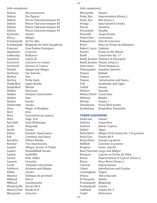*(alto saxophone)*

Dubois Divertissement<br>Dubois Dix Figures Dubois Dix Figures<br>Dubois Pieces Chara Dubois Pieces Characteristiques #1<br>Dubois Pieces Characteristiques #2 Dubois Pieces Characteristiques #2<br>Dubois Pieces Characteristiques #4 Dubois Pieces Characteristiques #4<br>Dubois Pieces Characteristiques #5 Pieces Characteristiques #5<br>Sonate Eychenne<br>Fiocco Allegro<br>Air for Alto Frackenpohl<br>Frackenpohl Frackenpohl Rhapsody for Solo Saxophone<br>Francaix Cing Danses Exotiques **Cinq Danses Exotiques**<br>Concerto Glazmmov Concerto<br>Gotkovskv Brilliance Gotkovsky<br>Gurewich Gurewich Capriccio<br>Gurewich Concerto i Gurewich Concerto in e minor<br>Gurewich Fantasy in f minor Gurewich Fantasy in f minor<br>Handel Adagio and Allegro Handel Adagio and Allegro<br>Harbison San Antonio San Antonio<br>Duo Hartley<br>Hartley Hartley Petite Suite<br>Haydnffeal Gypsy Rond Gypsy Rondo<br>Minuet Haydnffeal<br>Heiden Heiden Diversion<br>Heiden Fantasia C Fantasia Concertante<br>Solo Heiden Solo<br>Heiden Sonata Heiden Sonata<br>Hindernith Sonata Hindernith<br>Husa Elegie et Rondeau<br>Aria Ibert<br>Ibert Ibert Concertiino da camera<br>Ilhert Ilher Ilher Ibert L'Age d'or<br>Iturralde Suite Helle Iturralde Suite Hellenique<br>Iacob Rhapsody Rhapsody<br>Sonata Jacobi<br>Jolivet **Jolivet** Fantasie Impromptu<br> **Ioly** Cantilene and Dance Joly Cantilene and Dance<br>Koechlin Fifteen Etudes Koechlin Fifteen Etudes<br>Kreisler Two Impressio Kreisler Two Impressions<br>Lantier Allegro, Arioso, et Lantier Allegro, Arioso, et Finale<br>Lantier Euskaldllllak Sonata Lantier Euskaldllllak Sonata<br>Lantier Sicilielllle Lantier Sicilielllle<br>Larsen Holy Rolle Holy Roller<br>Concerto Larsson<br>Lecail Lecail Fantasie Concertante<br>LeFebvre Aridante and Allegro LeFebvre Aridante and Allegro Lllllde Sonata<br>Maurice Tableau Tableaux de provence<br>Dance Milhaud<br>Milhaud Scaramouche Mondonville Sonata No.6<br>Mozart/Teal Rondo in D Mozart/Teal Rondo in<br>Muczynski Concerto Muczynski

#### *(alto saxophone)*

| Muczynski      | Sonata                         |
|----------------|--------------------------------|
| Noda, Ryo      | Improvisation (Unacc.)         |
| Noda, Ryo      | Mai (Unacc.)                   |
| Orrego         | Salas-Quattro Liriche          |
| Pascal         | Sonatine                       |
| Persichetti    | Parable                        |
| Piazzolla      | Tango Etudes                   |
| Pieme/Gee      | Canzonetta                     |
| Rabaud/Gee     | Solo de Concours               |
| Ravel          | Piece en Fonne de Habanera     |
| Robert, Lucie  | Cadenze                        |
| Rorern         | Picnic on the Marne            |
| Rueff          | Concertino Op. 17              |
| Rueff, Jeanine | Chanson et Passepied           |
|                | Rueff, Jeanine Sonata (Unacc.) |
| Schurnann      | <b>Three Romances</b>          |
| Tcherepnine    | <b>Sonatine Sportive</b>       |
| Tomasi         | <b>Ballade</b>                 |
| Tomasi         | Concerto                       |
| Tomasi         | <b>Introduction and Dance</b>  |
| Tull           | Sarabande and Gigue            |
| Tuthill        | Sonata                         |
| Walters        | Episode                        |
| Weber/Davis    | Concertino                     |
| Whitney        | Rumba                          |
| Worley         | Sonata I                       |
| Yoshimatsu     | <b>Fuzzy Bird Sonata</b>       |
| Zambarano      | Neapolitan Tarantella          |

#### **TENOR SAXOPHONE**

| Anderson         | Sonata                               |
|------------------|--------------------------------------|
| Andrieu          | Concertino                           |
| Andrieu          | Rondo Caprice                        |
| Aubert           | Gigue                                |
| Bach/Davis       | Allegro from Sonata No. 3 in g minor |
| Bach/Gee         | Sonata No.4                          |
| Bach/Harle       | Sonata in g minor                    |
| <b>Bellllett</b> | Concerto in g minor                  |
| Bergson          | Scene and Air                        |
|                  | Boni/Voxrnan Largo and Allegro       |
| Bonneau          | Caprice en Forme de Valse            |
| Bozza            | Improvisation et Caprice (Unacc.)    |
| Bozza            | Piece Breve (Unacc.)                 |
| Caravan          | Improvisation                        |
| Cohen            | Introduction and Czardas             |
| Cunningham       | Trigon                               |
| Diniou           | Hora Staccato                        |
| Di Pasquale      | Sonata                               |
| Frackenpohl      | Rhapsody                             |
| Frackenpohl      | Sonata                               |
| Gailliard        | Sonata No. 4                         |
| Gould            | Diversions                           |
|                  |                                      |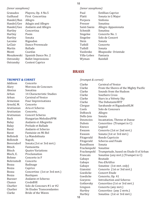### *(tenor saxophone)*

| Granados<br>Guilhaud<br>Handel/Ban | Playera, Op. 4 No.5<br>First Concertina<br>Allegro |
|------------------------------------|----------------------------------------------------|
| Handel/Gee                         | Adagio and Allegro                                 |
| Handel/Gee                         | Andante and Allegro                                |
| Hartley                            | Concertina                                         |
| Hartley                            | Poem                                               |
| Hartley                            | Sonata                                             |
| Lacome                             | Rigaudon                                           |
| LeClair                            | Dance Provencale                                   |
| Martin                             | <b>Ballade</b>                                     |
| Monti                              | Czardas                                            |
| Mosakowski                         | Spanish Dance No. 2                                |
| Ostransky                          | <b>Ballet Impressions</b>                          |
| Ostransky                          | <b>Contest Caprice</b>                             |
|                                    |                                                    |

#### *(tenor saxophone)*

| Paul        | <b>Estillian Caprice</b> |
|-------------|--------------------------|
| Platti      | Sonata in G Major        |
| Porpora     | Sinfonia                 |
| Presser     | Sonatina                 |
| Saint-Saens | Allegro Appasionata      |
| Schmidt     | Sonatina                 |
| Singelee    | Concerto No. 1           |
| Singelee    | Solo de Concert          |
| Stein       | Sonata                   |
| Tuthill     | Concerto                 |
| Tuthill     | Sonata                   |
| Vasilenko   | Rhapsodie Orientale      |
| Villa-Lobos | Fantasia                 |
| Wyman       | Rainfall                 |
|             |                          |

## **BRASS**

*(trumpet & cornet)*

#### **TRUMPET & CORNET**

| Addison          | Concerto                        |
|------------------|---------------------------------|
| Alary            | Morceau de Concours             |
| Alexius          | Sonatina                        |
| Arban            | 14 Characteristic Studies       |
| Arban            | <b>Carnival of Venice</b>       |
| Armenian         | <b>Four Improvisations</b>      |
| Arnold, M.       | Concerto                        |
| Arutiunian       | Aria et Scherzo                 |
| Arutiunian       | Concerto,                       |
| Arutiunian       | <b>Concert Scherzo</b>          |
| Bach             | Hungarian MelodiesPPM           |
| <b>Balay</b>     | Andante et Allegretto           |
| Balay            | Prelude et Ballade              |
| <b>Barat</b>     | Andante et Scherzo              |
| <b>Barat</b>     | Fantaisie en Mi Bol             |
| <b>Bellstedt</b> | La Mandolinata                  |
| <b>Bellstedt</b> | Napoli,                         |
| Beversdorf       | Sonata (1st or 3rd mvt.)        |
| <b>Bitsch</b>    | Fantasietta                     |
| <b>Bitsch</b>    | <b>Quatre Variations</b>        |
| Bloch, E.        | Proclamation                    |
| <b>Bohme</b>     | Concerto in F                   |
| Bohrnstedt       | Concerto                        |
| Bozza            | <b>Badinage</b>                 |
| <b>Bozza</b>     | Caprice                         |
| Bozza            | Concertino (1st or 3rd mvt.)    |
| Bozza            | Rustiques                       |
| <b>Buesser</b>   | Andante et Scherzo              |
| Chance           | CredoBHI                        |
| Charlier         | Solo de Concours #1 or #2       |
| Charlier         | <b>36 Etudes Transcendantes</b> |
| Clarke           | <b>Bride of the Waves</b>       |
|                  |                                 |

| Clarke         | <b>Carnival of Venice</b>              |
|----------------|----------------------------------------|
| Clarke         | From the Shores of the Mighty Pacific  |
| Clarke         | Sounds from the Hudson                 |
| Clarke         | Southern Cross                         |
| Clarke         | Stars in a Velvety Sky                 |
| Clarke         | The DebutanteWIT                       |
| Clergue        | Sarabande et RigaudonHLM               |
| Cools          | Solo de Concours                       |
| <b>DeBoeck</b> | Allegro                                |
| Dello Joio     | Sonata                                 |
| Desencios      | Incantation, Threne et Danse           |
| Dubois         | Concertino (Trumpet in C)              |
| Enesco         | Legend                                 |
| Ewazen         | Concerto (1st or 2nd mvt.)             |
| Ewazen         | Sonata (1st or 3rd mvt.)               |
| Fitzgerald     | Rondo Capriccio                        |
| Fitzgerald     | <b>Scherzo and Finale</b>              |
| Runolfsson     | Sonata                                 |
| Frackenpohl    | Sonatine                               |
| Frackenpohl    | Trumpetude, based on Etude II of Arban |
| Francaix       | Sonatine (any mvt.) (Trumpet in C)     |
| Gabaye         | <b>Boutade</b>                         |
| Gabaye         | Feu d'Artifice                         |
| Gabaye         | Sonatine (1st mvt. only)               |
| Giannini       | Concerto (1st or 3rd mvt.)             |
| Goedicke       | <b>Concert Etude</b>                   |
| Goedicke       | Concerto, Op. 41                       |
| Goeyens        | <b>Introduction and Scherzo</b>        |
| Gotkovsky      | Concertino (1st or 3rd mvt.)           |
| Gregson        | Concerto (any mvt.)                    |
| Hartley        | Concertino (any 2 mvts.)               |
| Hartley        | Sonatina (1st or 3rd mvt.)             |
|                |                                        |

18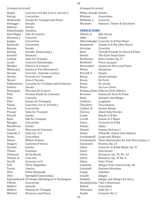## *(trumpet & cornet)*

| Haydn                | Concerto in E-flat (1st or 3rd mvt.)             |
|----------------------|--------------------------------------------------|
| Hering               | Concertino                                       |
| Hindemith            | Sonata for Trumpet and Piano                     |
| Honegger             | Intrada                                          |
| Hubeau               | Sonata                                           |
| Hubschmann           | Sonatina                                         |
| Hue/Mager            | Solo de Concert                                  |
| Hummel, J.           | Concerto                                         |
| Jongen               | Concertino                                       |
| Kaminski             | Concertino                                       |
| Kennan               | Sonata                                           |
| Ketting              | Intrada (Unaccomp.)                              |
| Kreisler             | Sonatina                                         |
| Latham               | Suite for Trumpet                                |
| Lecail               | Concerto Romantique                              |
| Mendez               | Scherzo in d minor                               |
| Molineaux            | Sonata in Two Movements                          |
| Neruda               | Concerto (Include 2 mvts.)                       |
| <b>Nestico</b>       | Portrait of a Trumpet                            |
| Niverd               | Aria et Toccata                                  |
| Pakhmutova           | Concerto for Trumpet and Orchestra               |
| Peeters              | Sonata                                           |
| Pennequin            | Morceau de Concert                               |
| Petit                | Premier Etude de Concours                        |
| Pilss                | Concerto                                         |
| Pilss                | Sonate for Trompete                              |
| Planel               | Concerto (1st or 3rd mvt.)                       |
| Porrino              | Concertino                                       |
| Presser              | Suite for Trumpet                                |
| Purcell              | Sonata                                           |
| Reed                 | Ode for Trumpet                                  |
| Riisager             | Concertino                                       |
| Runolfsson           | Sonata                                           |
| Savard               | Morceau de Concours                              |
|                      |                                                  |
| Schmidt, F.<br>Senee | Suite Op. 133                                    |
|                      | Concertino<br><b>Willow Echoes</b>               |
| Simon                | <b>Carnival of Venice</b>                        |
| <b>Staigers</b>      |                                                  |
| <b>Stevens</b>       | Sonata                                           |
| Thome                | Fantaisie                                        |
| Thomson              | At the Beach                                     |
| Tomasi, H.           | Concerto                                         |
| Torelli              | Concerto in D                                    |
| Tull                 | Three Bagatelles                                 |
| Turrin               | Caprice                                          |
| Uber                 | Petite Rhapsody                                  |
| Uber                 | Springfall (unaccomp.)                           |
|                      | Vannetelbosch 20 Etudes Melodiques et Techniques |
| Villette             | Concertino                                       |
| Walters              | Episode                                          |
| Walters              | <b>Fantasy for Trumpet</b>                       |
| Welcher              | <b>Nocturne and Dance</b>                        |

## *(trumpet & cornet)*

| White, Donald Sonata         |
|------------------------------|
| Concertino                   |
| Concerto                     |
| Fantasie, Theme & Variations |
|                              |

#### **FRENCH HORN**

| Abbott, A.       | Alla Caccia                             |
|------------------|-----------------------------------------|
| Adler            | Sonata                                  |
|                  | Albrectsberger Concerto in B-Flat Major |
| Hindemith        | Sonate in E-flat (Alto Horn)            |
| Arivnian         | Concerto                                |
| Bach             | Chorale Prelude for Horn & Piano        |
| Beckel           | The Glass Bead Game                     |
| Beethoven        | Horn Sonata, Op. 17                     |
| <b>Berthelot</b> | Freres Jacques                          |
| Beversdorf       | Sonata for Horn and Piano               |
| Bitsch           | Variations                              |
| Borroff, E.      | Sonata                                  |
| Bozza            | Chant Lointain                          |
| Bozza            | En Foret                                |
| Bozza            | En Irland                               |
| Bozza            | Sur Les Cimes                           |
|                  | Brahms/Jones Scherzo (Solo Album)       |
| <b>Brouwer</b>   | Sonata for Horn & Piano                 |
| <b>Butts</b>     | Andante and Allegro                     |
| Chabrier         | Larghetto                               |
| Cherubini        | <b>Two Sonatas</b>                      |
| Cioffari, R.     | <b>Festive Rondo</b>                    |
| Clerisse         | <b>Chant Sans Paroles</b>               |
| Cooke            | Rondo in B flat                         |
| Corelli          | Sonata in F Major                       |
| Danzi            | Concerto in E-flat                      |
| Defaye           | Alpha                                   |
| Donato           | Sonata (3rd mvt.)                       |
| Dukas            | Villanelle (Jones Solo Album)           |
|                  | Frackenpohl Largo and Allegro           |
| Frackenpohl      | Three Movements for Solo Horn (unacc.)  |
| Glazounov        | Reverie, Op. 24                         |
| Gliere           | Concerto in B-flat Major, Op. 91        |
| Gliere           | Intermezzo                              |
| Gliere           | Nocturne, Op. 35, No. 10                |
| Gliere           | Romance, Op. 35 No. 6                   |
| Gliere           | <b>Valse Triste</b>                     |
| Goedicke         | Allegro from Concerto Op. 40            |
| Gottwald         | Fantasie Heroique                       |
| Grapp            | Sonatine                                |
| Grazoli          | Adagio                                  |
| Haddad           | Adagio and Allegro for Horn             |
|                  | Handel/Jones I See a Huntsman           |
| Ridout           | Concertino                              |
| Telemann         | Suite No. 1                             |
| Haydn            | Concerto No. 2                          |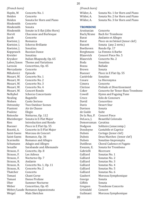#### *(French horn)*

Haydn, M Concerto No. 1<br>Heiden Concerto Heiden Concerto<br>Heiden Sonata fo Sonata for Horn and Piano<br>Concerto Hindemith Concer<br>Hindemith Sonata Hindemith<br>Hindemith Hindemith Sonate in E-flat (Alto Horn)<br>Horvit Chaconne and Burlesque Horvit Chaconne and Burlesque<br>
Iacob Concerto Concerto<br>Romanza Koetsier, J.<br>Koetsier, J. Scherzo Brillante<br>Sonatina Koetsier, J.<br>Kopprasch Kopprasch Russian Dance<br>Kreisler Sonatina Kreisler Sonatina<br>Kryukov Italian Rh Kryukov Italian Rhapsody, Op. 65<br>Labor/Jones Theme and Variations Labor/Jones Theme and Variations<br>Larsson Concertino. Op. 45 Concertino, Op. 45<br>Concerto Mercadante Concerto<br>Mihalovici Episode Mihalovici<br>Mozart, W. Mozart, W. Concerto No. 1<br>Mozart, W. Concerto No. 2 Mozart, W. Concerto No. 2<br>Mozart. W. Concerto No. 3 Mozart, W. Concerto No. 3<br>Mozart, W. Concerto No. 4 Mozart, W. Concerto No. 4<br>Mozart. W. Concert Rondo Mozart, W. Concert Rondo<br>Nelhybel Scherzo Concer Nelhybel Scherzo Concertante<br>Neuling Bagatelle Neuling Bagatelle<br>Nielsen Canto Ser Nielsen Canto Serioso<br>Ostransky Two Outdoor 9 Ostransky Two Outdoor Scenes<br>Piantoni Air de Chasse Air de Chasse<br>Elegie Poulenc<br>Reinecke Reinecke Notturno, Op. 112<br>Rheinberger Sonata in E-Flat M Rheinberger Sonata in E-Flat Major<br>Ries Introduction and Rond Ries Introduction and Rondo<br>Buesser Piece in E Flat On. 55 Buesser Piece in E Flat Op. 55<br>Rosetti, A. Concerto in E-Flat Ma Rosetti, A. Concerto in E-Flat Major<br>Saint-Saens Morceau de Concert Saint-Saens Morceau de Concert<br>Saint-Saens Romance. Op. 36 Saint-Saens Romance, Op. 36<br>Scarmolin Romance and All Scarmolin Romance and Allegro<br>Schumann Adagio and Allegro Schumann Adagio and Allegro<br>Senaille Sarabande and Alle Senaille Sarabande and Allemande<br>Strauss. F. Concerto. Op. 8 Strauss, F. Concerto, Op. 8<br>Strauss. F. Les Adieux Strauss, F. Les Adieux<br>Strauss, F. Nocturno C Nocturno Op. 7<br>Andante Strauss, R.<br>Strauss, R. Strauss, R. Concerto No. 1, Op. 11<br>Strauss, R. Concerto No. 2 Concerto No. 2<br>Concerto Thatcher<br>Tomasi Tomasi Chant Corse<br>Tomasi Danse Profai Tomasi Danse Profane<br>Uber Summer Noctu Uber Summer Nocturne<br>Weber Concertino, Op. 45 Concertino, Op. 45 Weber/Laude Romanze Appassionata<br>Weigel Main Sketches Main Sketches

#### *(French horn)*

| Sonata No. 1 for Horn and Piano |
|---------------------------------|
| Sonata No. 2 for Horn and Piano |
| Sonata No. 3 for Horn and Piano |
|                                 |

#### **TROMBONE**

Arutiunian Concerto<br>Bach/Krane Bach for Bach/Krane Bach for Trombone Barat Andante et Allegro<br>Barat Piece en mi bémol ( Barat Piece en mi bémol (tenor clef)<br>Bassett Sonata (any 2 myts.) Bassett Sonata (any 2 mvts.)<br>Beethoven Rondo Op. 17 Beethoven Rondo Op. 17<br>Berghmans La Femme A E Berghmans La Femme A Barbe<br>Blazevich Concert Piece No. 5 Blazevich Concert Piece No. 5<br>Blazevich Concerto No. 2 Blazevich Concerto No. 2<br>Boda Sonatina Boda Sonatina<br>Bozza Ballade Bozza Ballade<br>Brown Sonata Brown Sonata<br>Buesser Piece in Piece in E Flat Op. 55<br>Sonatine Castérède<br>Cesare Cesare La Hieronyma<br>Cimera Concerto Cimera Concerto<br>Clerisse Prelude e Clerisse Prelude et Divertissement<br>Coker Concerto for Tenor-Bass Ti Coker Concerto for Tenor-Bass Trombone<br>Cowell Hymn and Fuguing Tune Cowell Hymn and Fuguing Tune<br>Croce Solo de Concours Croce Solo de Concours<br>David Concertino David Concertino<br>Davis Desert Star Desert Star<br>Sonata Davison Sonat<br>de Guide Suite de Guide Suite<br>De la Nux. P. Concert Piece De la Nux, P.<br>DeLuca. I. Beautiful Colorado Demerssman Cavatina<br>Dodgson Solitaire Dodgson Solitaire (unaccomp.)<br>Dondoyne Cantabile et Caprice Dondoyne Cantabile et Caprice<br>Dubois Cortege (tenor clef) Dubois Cortege (tenor clef)<br>Dubois Deux Marches (teno Dubois Deux Marches (tenor clef)<br>Dubois Sonatine-Impromptu Dubois Sonatine-Impromptu<br>Dutilleux Choral Cadence et Fus Dutilleux Choral Cadence et Fugato<br>Ewazen. E. Sonata for Trombone Ewazen, E. Sonata for Trombone<br>Gabrielli Ricercare Gabrielli Ricercare<br>Galliard Sonatas N Galliard Sonatas No. 1<br>Galliard Sonatas No. 2 Galliard Sonatas No. 2<br>Galliard Sonatas No. 3 Galliard Sonatas No. 3<br>Galliard Sonatas No. 4 Galliard Sonatas No. 4<br>Galliard Sonatas No. 5 Galliard Sonatas No. 5<br>Galliard Sonatas No. 6 Galliard Sonatas No. 6<br>Gaubert Morceau Sym Morceau Symphonique<br>Sonata George Sonata<br>Giffels Sonata Giffels<br>Gregson Trombone Concerto<br>Concert Gröndahl<br>Guilmant Morceau Symphonique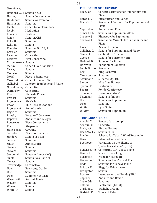## *(trombone)*

Handel/Powell Sonata No. 3<br>Hartley Sonata Conce Hartley Sonata Concertante<br>Hindemith Sonata for Trombon Sonata for Trombone<br>Sonatina Hutchison<br>Jacob Jacob Concerto for Trombone<br>Iacobi Meditation Meditation<br>Fantasy Johnson<br>Jones Jones SonatinaCRS<br>Kelly, B. Sonatina Sonatina<br>Sonata Kelly, R.<br>Koetsier Koetsier Sonatina Op. 58/1<br>Kreisler Sonatina Kreisler Sonatina<br>Larsson Concertir Larsson Concertino<br>Leclercq First Concer First Concertino Marcello/Fote Sonata III<br>McKay Concert So Concert Solo Sonatine<br>Sonata McKay Sonata<br>Monaco Sonata Monaco<br>Morel Piece in Fa mineur Mozart/Ernst Concert Rondo K.371<br>Nelhybel Suite for Trombone an Suite for Trombone and Piano Nowakowsky Concertino Ostransky<br>Poot Poot Etude de Concert<br>Presser Sonatina Sonatina Pryor/Cimera Air Varie Blue Bells of Scotland<br>Annie Laurie Pryor/Smith Annie Laurence and Sonatine Ragwitz<br>Rimsky Rimsky Korsakoff-Concerto<br>Ropartz Andante and Allegro Ropartz Andante and Allegro<br>Rousseau Piece Concertante Rousseau Piece Concertante<br>Rueff Rhansodie Rhapsodie<br>Cavatine Saint-Saëns<br>Salzedo Salzedo Piece Concertante<br>Sanders Sonata in E flat Sonata in E flat<br>Sonatine Serocki<br>Smith Annie Laurie<br>Sonata Stevens<br>Stevens Stevens Sonatina<br>Stojowski Fantasie Stojowski Fantasie (tenor clef)<br>Sulek Sonata "vox Gabrieli" Sonata "vox Gabrieli"<br>Sonata Takacs Sonata<br>Trowbridge Chromatica Trowbridge<br>Uher Uber Evensong, Op. 64<br>Ilber Sonatina Uber Sonatina<br>Uber Summer Uber Summer Nocturne<br>Wagenseil Konzert Music Wagenseil Konzert Music<br>Watson Sonatina Sonatina<br>Sonata Whear Sonata<br>White D. Sonata White, D.

#### **EUPHONIUM OR BARITONE**

21

| Bach, Jan              | Concert Variations for Euphonium and<br>Piano |
|------------------------|-----------------------------------------------|
| Barat, J.E.            | <b>Introduction and Dance</b>                 |
| <b>Boccalari</b>       | Fantasia di Concerto for Euphonium and        |
|                        | Piano                                         |
| Capuzzi, A.            | <b>Andante and Rondo</b>                      |
| Clinard, F.L.          | Sonata for Euphonium Alone                    |
| Curnow, J.             | Rhapsody for Euphonium                        |
| Curnow, J.             | Symphonic Variants for Euphonium and          |
|                        | Piano                                         |
| Fiocco                 | Aria and Rondo                                |
| Gallaher, C.           | Sonata for Euphonium and Piano                |
| Gaubert                | Cantabile et Scherzetto                       |
| George                 | Sonata for Baritone Horn                      |
| Haddad, D.             | <b>Suite for Baritone</b>                     |
| Horovitz               | Euphonium Concerto                            |
| Jacob, Gordon Fantasia |                                               |
| Kryl                   | <b>King Carneval</b>                          |
| Mozart/Ernst           | Sonatina                                      |
| Schumann               | 5 Pieces, Op. 102                             |
| Simon                  | <b>Miss Blue Bonnet</b>                       |
| Sparke, P.             | Pantomime                                     |
| Spears                 | Rondo Capriccioso                             |
| Strauss, R.            | Horn Concerto #1                              |
| Telemann               | Sonata in f minor                             |
| Uber                   | Sonata for Euphonium                          |
| Uber                   | Sonatina                                      |
| White                  | Lyric Suite                                   |
| Wilder                 | Sonata for Euphonium                          |

#### **TUBA-SOUSAPHONE**

| Arnold, M.          | Fantasy (unaccomp.)              |
|---------------------|----------------------------------|
| Arutiunian          | Concerto                         |
| Bach/Bell           | Air and Bouree                   |
| Bach./Cooley        | Sonata in Eb                     |
| <b>Bartles</b>      | Scherzo for Tuba & Wind Ensemble |
| Barat               | Introduction and Dance           |
| Beethoven           | Variations on the Theme of       |
|                     | "Judas Maccabaeus" (BBb)         |
| <b>Bencriscutto</b> | Concertino for Tuba & Piano      |
| <b>Bennett</b>      | Voice of the Viking              |
| Bernstein           | Waltz for Mippy III              |
| Beversdorf          | Sonata for Bass Tuba & Piano     |
| Boda                | Sonatina for Tuba & Piano        |
| Britton, D.         | Elegy for Eric Anasco            |
| <b>Broughton</b>    | Sonata                           |
| Buchtel             | Introduction and Rondo (BBb)     |
| Capuzzi             | Andante and Rondo                |
| Castérède           | Sonatine                         |
| Catozzi             | Beelzebub (E Flat)               |
| Clark, H.L.         | <b>Twilight Dreams</b>           |
| Dedrick, C.         | Touch of Tuba                    |
|                     |                                  |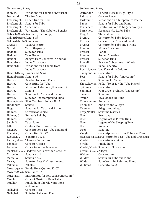#### *(tuba-sousaphone)*

| Diercks, J.               | Variations on Theme of Gottschalk               |
|---------------------------|-------------------------------------------------|
| Desmond                   | The Sea Gong                                    |
| Frackenpohl               | Concertino for Tuba                             |
| Frackenpohl               | Sonata for Tuba                                 |
| Frackenpohl Tubatunes     |                                                 |
|                           | Frackenpohl Variations (The Cobblers Bench)     |
|                           | Gabrieli/Morris Ricercar (Unaccomp.)            |
| Galliard/Jacobs Sonata #5 |                                                 |
| Galliard/Jacobs Sonata #6 |                                                 |
| Gregson                   | Tuba Concerto                                   |
| Grundman                  | Tuba Rhapsody                                   |
| Haddad                    | Suite for Tuba                                  |
| Haddad                    | <b>Two Pieces</b>                               |
| Handel                    | Allegro from Concerto in f minor                |
| Handel/Bell               | Judas Maccabeus                                 |
| Handel/Bell               | Variations on a Theme from                      |
|                           | Judas Maccabeus                                 |
|                           | Handel/Harvey Honor and Arms                    |
| Handel/Morris Sonata #6   |                                                 |
| Hartley                   | Aria for Tuba and Piano                         |
| Hartley                   | Concertino for Tuba                             |
| Hartley                   | Music for Tuba Solo (Unaccomp.)                 |
| Hartley                   | Sonata                                          |
| Hartley                   | Sonatina for Tuba and Piano                     |
| Hartley                   | Suite for Unaccompanied Tuba                    |
|                           | Haydn/Bowles First Mvt. from Sonata No. 7       |
| Hindemith                 | Sonate                                          |
| Hogg                      | Sonatina for Tuba and Piano                     |
| Holmes, G.                | <b>Carnival of Venice</b>                       |
| Holmes, G.                | Emmet's Lullaby                                 |
| Holmes, P.                | Lento                                           |
| Jacob, G.                 | <b>Tuba Suite</b>                               |
| Jaffe                     | <b>Centone Buffo Concertante</b>                |
| Jager, R.                 | Concerto for Bass Tuba and Band                 |
| Koetsier, J.              | Concertino Op. 77                               |
| Koetsier, J.              | Sonatina Op. 57                                 |
|                           | Labor, J./Jones Theme & Variations              |
| Lebedev                   | Concert Allegro                                 |
| Lebedev                   | Concerto in One Movement                        |
|                           | Mahler/PerantoniLieder Eines Fahrenden Gesellen |
| Marcello                  | Sonata No. 1                                    |
| Marcello                  | Sonata No. 5                                    |
| McKay                     | Suite for Bass Clef Instruments                 |
| Mitsuoka.                 | Whales                                          |
| Mozart/Jones              | Rondo Horn Quintet, K407                        |
|                           | Mozart/Morris SerenadeSHA                       |
| Muczynski                 | Impromptus for solo tuba (Unaccomp.)            |
| Mueller                   | <b>Concert Music for Bass Tuba</b>              |
| Mueller                   | <b>Praeludium Chorale Variations</b>            |
|                           | and Fugue                                       |
| Nelhybel                  | <b>Concert Piece</b>                            |
| Nelhybel                  | Suite for Tuba and Piano                        |
|                           |                                                 |

#### *(tuba-sousaphone)*

| Ostrander              | Concert Piece in Fugal Style                          |
|------------------------|-------------------------------------------------------|
| Painpare               | <b>Concert Piece</b>                                  |
| Parkhurst              | Variations on a Temperance Theme                      |
| Payne                  | Sonata for Tuba and Piano                             |
| Persichetti            | Parable for Solo Tuba (unaccomp.)                     |
| Persichetti            | Serenade No. 12 for Tuba                              |
| Plog, A.               | <b>Three Minatures</b>                                |
| Premru                 | Concerto for Tuba & Orch.                             |
| Presser                | Capriccio for Tuba and Band                           |
| Presser                | Concerto for Tuba and Strings                         |
| Presser                | <b>Minute Sketches</b>                                |
| Presser                | Rondo                                                 |
| Presser                | Second Sonatina                                       |
| Presser                | Suite for Tuba                                        |
| Purcell                | Arise Ye Subterranean Winds                           |
| Ross                   | Tuba Concerto                                         |
| Rossini/Hume           | Una Voce M'Ha Colpito                                 |
| Shaughnessy            | Concertino                                            |
| Sear                   | Sonata for Tuba (unaccomp.)                           |
| Sear                   | Sonatina for Tuba                                     |
| Shostakovich           | Polka (Solos for the Tuba Player)                     |
| Spillman               | Concerto                                              |
| Spillman               | Four Greek Preludes (unaccomp.)                       |
| <b>Stevens</b>         | Sonatina                                              |
| Swann                  | Two Moods for Tuba                                    |
| Tcherepnine            | Andante                                               |
| Telemann               | <b>Andante and Allegro</b>                            |
| Telemann               | Adagio and Allegro                                    |
| Troje/Miller           | Sonatina Classica                                     |
| Uber                   | Evensong                                              |
| Uber                   | Legend of the Purple Hills                            |
| Uber                   | Legend of the Sleeping Bear                           |
| Uber                   | Romance                                               |
| Uber                   | Sonatina                                              |
| Vaughn                 | Concertpiece No. 1 for Tuba and Piano                 |
|                        | Vaughan-Williams Concerto for Bass Tuba and Orchestra |
| Vivaldi                | Concerto in a minor                                   |
| Vivaldi                | Praeludium                                            |
|                        | Vivaldi/Morris Sonata No. 3 in a minor                |
| Vivaldi/SwansonAllegro |                                                       |
| Walters                | Concertante                                           |
| Wilder                 | Sonata for Tuba and Piano                             |
| Wilder                 | Suite No. 1 for Tuba and Piano                        |
| Williams               | Concerto No. 2                                        |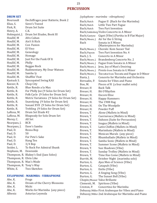## **PERCUSSION**

#### **DRUM SET**

| <b>Boursault</b>        | Dechiffrages pour Batterie, Book 2       |
|-------------------------|------------------------------------------|
| Elias, S.               | Sieve's Tweed                            |
| Fink, R.                | Drum Set Suite                           |
| Henry, A.               | C.K.                                     |
| Holmquist, J.           | Drum Set Etudes, Book III                |
| Houllif, M              | Afro Cuban                               |
| Houllif, M.             | Ain't It Rich                            |
| Houllif, M.             | Con Fusion                               |
| Houllif, M.             | El Vino                                  |
| Houllif, M.             | Geneology                                |
| Houllif, M.             | Homage                                   |
| Houllif, M.             | Just For the Funk Of It                  |
| Houllif, M.             | Philly                                   |
| Houllif, M.             | Reggae Rock                              |
| Houllif, M.             | Rudimentary, My Dear Watson              |
| Houllif, M.             | Samba ly                                 |
| Houllif, M.             | Shufflin' Feat                           |
| Kastuck S.              | <b>Syncopated Swing KAS</b>              |
| Keezer, R.              | Chop City                                |
| Kettle, R.              | Blue Rondo a la Max                      |
| Kettle, R.              | For Philly Joe (9 Solos for Drum Set)    |
| Kettle, R.              | Folk Cycle (9 Solos for Drum Set)        |
| Kettle, R.              | Metric Variations (9 Solos for Drum Set) |
| Kettle, R.              | Snavelying (9 Solos for Drum Set)        |
| Kettle, R.              | Sonant XVII (9 Solos for Drum Set)       |
| Kettle, R.              | Trebling (9 Solos for Drum Set)          |
| LaRosa, M.              | Drum Set Etude #2                        |
| LaRosa, M.              | Rhapsody for Solo Drum Set               |
| Morey, C.               | All Set                                  |
| Nearpass, J.            | <b>BCR</b>                               |
| Nearpass, J.            | Dave's Samba                             |
| Paul, D.                | Bossa Bop                                |
| Paul, D.                | 50                                       |
| Paul, D.                | For Pete's Sake                          |
| Paul, D.                | Hang Ten                                 |
| Paul, D.                | $3/4$ Bop                                |
| Snider, L.              | To Rock For Admiral Shunk                |
| Stephans, M. Downside   |                                          |
|                         | Thompson, R. Blakey's End (Jazz Solos)   |
| Thompson, R. Elvin Like |                                          |
| Thompson, R. Max's Mode |                                          |
| Thompson, R. Tony's Way |                                          |
| White, E.               | Two Sketches                             |

#### **XYLOPHONE - MARIMBA - VIBRAPHONE**

| Abe, K. | Frogs                         |
|---------|-------------------------------|
| Abe, K. | Dream of the Cherry Blossoms  |
| Abe, K. | Michi                         |
| Abe, K. | Works for Marimba (any piece) |
| Albeniz | Asturias Leyenda              |
|         |                               |

#### *(xylophone - marimba - vibraphone)*

| Bach/Hatch     | Fugue II (Bach for the Marimba)                    |
|----------------|----------------------------------------------------|
| Bach/Hatch     | Little Two Part Fugue                              |
| Bach/Hatch     | <b>Two Part Invention</b>                          |
|                | Bach/Goldenberg Violin Concerto in A Minor         |
| Bach/Gastyne   | Gigot (Vibe) (Partita in B Flat Major)             |
| Bach/Moore, J. | Air for the G String                               |
| <b>Bach</b>    | Sonata in E Minor<br>(Masterpieces for Marimba)    |
| Bach/Moore, J. | Chorale: Kom Susser Tod                            |
| Bach/Payson    | Two Part Invention No. 4                           |
| Bach, J. S.    | Concerto in A Minor                                |
| Bach/Moore, J. | Brandenberg Concerto No. 2                         |
| Bach/Moore, J. | Fugue from Sonata in A Minor                       |
| Bach/Moore, J. | Jesu, Joy of Man's Desiring                        |
| Bach/Moore, J. | Presto from Sonata in G Minor                      |
| Bach/Moore, J. | Toccata from Toccata and Fugue in D Minor          |
| Basta, J.      | Concerto for Marimba and Orchestra                 |
| Bernadin, P.   | Sonata for Vibes and Piano                         |
| Boo, M.        | Pieces of R (a four mallet solo)                   |
| Breuer, H      | <b>Back Talk</b>                                   |
| Breuer, H.     | Bit O'Rhythm                                       |
| Breuer, H.     | <b>Encore Elise</b>                                |
| Breuer, H.     | Happy Hammers                                      |
| Breuer, H.     | The 1908 Rag                                       |
| Breuer, H.     | On The Woodpile                                    |
| Breuer, H.     | Powder Puff                                        |
| Brown, T.      | Alone (Mallets in Mind)                            |
| Brown, T.      | Cuernevaca (Mallets in Mind)                       |
| Brown, T.      | Dahoon (Suite for Percussion)                      |
| Brown, T.      | Inagua (Mallets in Mind)                           |
| Brown, T.      | Latin Chiffon (Mallets in Mind)                    |
| Brown, T.      | Marimbato (Mallets in Mind)                        |
| Brown, T.      | Mexican Murals (any piece)                         |
| Brown, T.      | Rhumballade (Mallets in Mind)                      |
| Brown, T.      | Samba Sonic (Mallets in Mind)                      |
| Brown, T.      | Summer Scene (Mallets in Mind)                     |
| Brown, T.      | Sun Shadows (Vibe)                                 |
| Brown, T.      | Sunday Trolley (Mallets in Mind)                   |
| Brown, T.      | Time Has Come (Mallets in Mind)                    |
| Burritt, M.    | October Night (marimba solo)                       |
| Burton, G.     | Ajax Men of Science (Vibe)                         |
| Burton, G.     | Catapult (Vibe)                                    |
| Burton, G.     | Enihs (Vibe)                                       |
| Burton, G.     | A Singing Song (Vibe)                              |
| Burton, G.     | The Sunset Bell (Vibe)                             |
|                |                                                    |
|                | Chopin/Musser Valse Brillante                      |
| Clementi, M.   | Spiritoso (Vibe)<br>Concertino for Marimba         |
| Creston, P.    |                                                    |
|                | Debussy/Miller First Arabesque for Vibes and Piano |
|                | Debussy/Miller 2nd Arabesque for Marimba and Piano |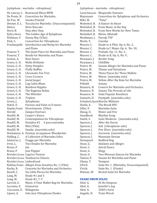#### *(xylophone - marimba - vibraphone)*

| De Lancey, C.              | Rosewood Blues MPM                               |
|----------------------------|--------------------------------------------------|
| De Ponte, N.               | <b>Concertino for Marimba</b>                    |
| De Pue, W.                 | Sonata Primitif                                  |
| Diemer, E. L.              | Toccata for Marimba (Unaccompanied)              |
| Dinicu                     | Hora Staccato                                    |
| Dorn, B.                   | Step after Step                                  |
| Eyles/Werle                | The Golden Age of Xylophone                      |
| Feldman, V.                | Danny Boy (Vibe)                                 |
| Fink, S.                   | Concertino for Vibraphone                        |
| Frackenpohl                | Introduction and Romp for Marimba                |
|                            | and Piano                                        |
| Frazeur, T.                | The Quiet Place for Marimba and Piano            |
| Frazeur, T.                | Rondo for Marimba and Piano                      |
| Gomez, A.                  | Rain Dance                                       |
| Green, G. H.               | <b>Waltz Brillante</b>                           |
| Green, G. H.               | <b>Dotty Dimples</b>                             |
| Green, G. H.               | <b>Fluffy Ruffles</b>                            |
| Green, G. H.               | <b>Chromatic Fox Trot</b>                        |
| Green, G. H.               | <b>Cross Corners</b>                             |
| Green, G. H.               | Jovial Jasper                                    |
| Green, G. H.               | Log Cabin Blues                                  |
| Green, G. H.               | <b>Rainbow Ripples</b>                           |
| Green, G. H.               | The Ragtime Robin                                |
| Green, G. H.               | The Whistler                                     |
| Green, G. H.               | <b>Triplets</b>                                  |
| Green, J.                  | Xylophonia                                       |
| Hatch, E.                  | Furioso and Valse in D minor                     |
| Haydn/Finkel               | Divertimento (Vibe)                              |
| Herold                     | Zampa Overture                                   |
| Houllif, M.                | Casper's Dance                                   |
| Houllif, M.                | Contemplation for Vibraphone                     |
| Houllif, M.                | Estudios #1<br>6 para marimba                    |
| Houllif, M.                | Mist (Vibe)                                      |
| Houllif, M.                | Samba (marimba solo)                             |
|                            | Hovhaness, A. Fantasy on Japanese Woodprints     |
| Hulling, C.                | A Collection of Marimba Solos                    |
| Immerso, J.                | Viaggo per Marimba                               |
| Irvin, L.                  | Two Etudes for Marimba                           |
| Kraus, P.                  | Jan                                              |
| Kraus, P.                  | Just Flippin'                                    |
|                            | Kreisler/Green Caprice Vienois                   |
|                            | Kreisler/Green Tambourin Chinois                 |
| Kreisler/Green Liebesfreud |                                                  |
|                            | Kuhlau/Finkel Allegro from Sonatina No. 1 (Vibe) |
| Kurka, R.                  | Concerto for Marimba and Orchestra               |
| Kuzell, C.                 | Six Little Pieces for Marimba                    |
| Lang, M.                   | Etude #1 and 5                                   |
| Lang, M.                   | Etude #2, 7, 9                                   |
| Larrick, G.                | Marie, A Four Mallet Rag for Marimba             |
| Lecuona, E.                | Gitanerias                                       |
| 1Lecuona, E.               | Malaguena                                        |
| Lipner, A.                 | Solo Jazz Vibraphone Etudes                      |
|                            |                                                  |

#### *(xylophone - marimba - vibraphone)*

| Liszt/Edwards | Rhapsodie Fantasie                       |
|---------------|------------------------------------------|
| Mayuzumi      | Concertino for Xylophone and Orchestra   |
| Miki, M.      | "Time"                                   |
| Molenhof, B.  | A Dancer At Heart                        |
| Molenhof, B.  | From Music of the Day                    |
| Molenhof, B.  | From New Works for New Times             |
| Molenhof, B.  | Kleine Albstadt                          |
| Monkman, J.   | Parody TSP                               |
| Monti, V.     | Csardas                                  |
| Musser, C.    | Etude in A Fllat, Op. 6, No. 2,          |
| Musser, C.    | Etude in C Major, Op. 6, No. 10,         |
| Musser, C.    | Prelude, Op. 11, No. 3,                  |
| Musser, C.    | Etude in B, Op. 6, No. 9,                |
| Nearpass, J.  | <b>Border Song</b>                       |
| Nearpass, J.  | Childlike                                |
| Peters, M.    | Sonata Allegro for Marimba and Piano     |
| Peters, M.    | Theme and Variations                     |
| Peters, M.    | Three Pieces for Three Mallets           |
| Peters, M.    | Waves (marimba solo)                     |
| Peters, M.    | Yellow After the Rain for Marimba        |
| Pitfield      | Sonata                                   |
| Rosauro, N.   | <b>Concert for Marimba and Orchestra</b> |
| Rosauro, N.   | Sonata The Periods of Life               |
| Rosauro, N.   | Suite Popular Brasileira                 |
| Samuels, D.   | Footpath (marimba solo)                  |
|               | Schubert/QuickMarche Militaire           |
| Sholle, E.    | The Brook BPC                            |
| Sifler, P.    | Marimba Suite                            |
| Skoog, D.     | <b>Water and Fire</b>                    |
| Smadbeck      | <b>Rhythm Song</b>                       |
| Smith, S.     | Suite Moderne<br>(marimba solo)          |
| Spencer, J.   | After the Storm                          |
| Spencer, J.   | Ask (vibraphone solo)                    |
| Spencer, J.   | Fire Elves (marimba solo)                |
| Spencer, J.   | Icecream (marimba solo)                  |
| Spencer, J.   | <b>Mountain Stream</b>                   |
| Steinquest    | Radford Rag                              |
| Stout, G.     | Andante and Allegro                      |
| Stout, C.     | <b>Astral Dance</b>                      |
| Stout, G.     | Elegy                                    |
| Stout, G.     | Two Mexican Dances for Marimba           |
| Tanner, P.    | Sonata for Marimba and Piano             |
| Ukena, T.     | Tempest                                  |
| Ulrich        | Suite No. 1 (Marimba, Unaccompanied)     |
| Virich        | Suite No. 1 (Finale)                     |
| Watson, W.    | Recital Suite for Marimba                |

#### **SNARE DRUM SOLOS**

| Abel, A.    | Hi Ho Simpson  |
|-------------|----------------|
| Abel, A.    | Jennifer's Jog |
| Abel, A.    | 2040's Sorte   |
| Angelis, N. | Train Wreck    |
|             |                |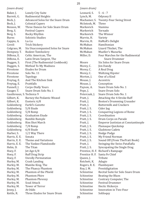| (snare drum)                         |                                                                                            | (snare drum)                             |                                  |
|--------------------------------------|--------------------------------------------------------------------------------------------|------------------------------------------|----------------------------------|
| Baker, J.<br>Barrett, G.<br>Beck, J. | Lonely City Suite<br><b>Rudimental Heights</b><br><b>Advanced Solos for the Snare Drum</b> | Leonard, S.<br>Lynch, M.<br>Machamer, S. | $5 - 6 - 7$<br>Odyssey<br>Twenty |
| Beck, J.                             | <b>Colonial Capers</b>                                                                     | McIntosh, M.                             | Three                            |
|                                      | Three Dances for Solo Snare Drum                                                           | Markovich                                | Stamina                          |
| Benson, W.                           |                                                                                            | Markovich                                |                                  |
| Berg, S.                             | <b>Festival Capers</b>                                                                     | Markovich                                | Tornad<br>The Wii                |
| Berg. S.<br><b>Burns</b>             | Rocky Rhythm<br>Soloistic Studies                                                          |                                          |                                  |
| Cappio, A.                           | Lu-Lu                                                                                      | Marvin, H.<br>Marvin, H.                 | Variety<br><b>HaMaR</b>          |
| Ceroli                               |                                                                                            | McMahan                                  | Hamilto                          |
| Colgrass, M.                         | <b>Trick Stickery</b><br>Six Unaccompanied Solos for Snare                                 | McMahan                                  | Lizard <sup>T</sup>              |
| Dempsey, T.                          | <b>Rodent Tomfoolery</b>                                                                   | McMahan                                  | Mueller                          |
| DiBona, E.                           | Celtic American, The                                                                       | Miller, D.                               | Four Ma                          |
|                                      | Latin Drum Sargent, The                                                                    |                                          | Sna                              |
| DiBona, E.<br>Duggen, S.             | First (The Rudimental Cookbook)                                                            | Moore                                    | Six Solo                         |
| Duggen, S.                           | <b>Method To My Madness</b>                                                                |                                          | Jim Dan                          |
| Firestone                            | <b>Etudes for Drum</b>                                                                     | Morey, C.<br>Morey, C.                   | A Real I                         |
| Firestone                            | Solo No. 11                                                                                | Morey, C.                                | Waltzin                          |
| Firestone                            | Tapology                                                                                   |                                          | One of a                         |
| Freytag, E.                          | And The Kitchen Sink                                                                       | Morton, J.<br>Mouse, J.                  | Accentr                          |
| Freytag, E.                          | Prattfalls                                                                                 | Mouse, J.                                |                                  |
| Funnell, J.                          | <b>Corps-Dially Yours</b>                                                                  | Payson, A.                               | Concep<br>Snare D                |
| Gauger, T.                           | Snare Drum Solo No. 1                                                                      | Pepe, J.                                 | Snare D                          |
| Gauthreaux, S. Technica 9            |                                                                                            | Petercsak, J.                            | Snare D                          |
| Gilbert, K.                          | Barney the Pedantic Weasel                                                                 | Pratt, J.                                | Attachi                          |
| Gilbert, K.                          | Esoteric 6/8                                                                               | Pratt, J.                                | Boston'                          |
| Goldenberg                           | Farfel's Gavotte                                                                           | Pratt, J.                                | <b>Buttern</b>                   |
| Goldenberg                           | 5/8 Etude                                                                                  | Pratt, J. S.                             | Cider Ju                         |
| Goldenberg                           | 5/8 Romp                                                                                   | Pratt, J. S.                             | Conque                           |
| Goldenberg                           | <b>Graduation Etude</b>                                                                    | Pratt, J. S.                             | Coordin                          |
| Goldenberg                           | Ramble Rumple                                                                              | Pratt, J. S.                             | Drum C                           |
| Goldenberg                           | <b>Rim Shot March</b>                                                                      | Pratt, J.                                | Emperc                           |
| Goldenberg                           | 7/8 Romp                                                                                   | Pratt, J. S.                             | Flamaq                           |
| Goldenberg                           | 6/8 Etude                                                                                  | Pratt, J. S.                             | Gladsto                          |
| Harber, S.                           | 1/2 Way There                                                                              | Pratt, J. S.                             | Hodge l                          |
| Harris, E. E.                        | Sonata                                                                                     | Pratt, J. S.                             | My Frie                          |
| Harris, E. E.                        | Theme and Variations                                                                       | Pratt, J. S.                             | Sound (                          |
| Harris, E. E.                        | The Yankee Flamdoodle                                                                      | Pratt, J.                                | Swingir                          |
| Helm, D.                             | The Titan                                                                                  | Pratt, J. S.                             | Syncopa                          |
| Hoey, F.                             | Jet Age 6/8                                                                                | Prentice, H. F.                          | Richard                          |
| Hoey, F.                             | <b>Ruff Drag Strip</b>                                                                     | Prentice H. F.                           | Santa F                          |
| Hoey, F.                             | <b>Unrolly Permutation</b>                                                                 | Queen, J.                                | Tribute                          |
| Hurley, M.                           | Crash Landing                                                                              | Reichett, K.                             | Adagio                           |
| Hurley, M.                           | Mambo King, The                                                                            | Rogers, R. E.                            | Flambo                           |
| Hurley, M.                           | The Phancy Phantom                                                                         | Roy, J. M.                               | Prestidi                         |
| Hurley, M.                           | Phantom of the Phield                                                                      | Schinstine                               | Recital                          |
| Hurley, M.                           | <b>Phantom Phire</b>                                                                       | Schinstine                               | <b>Beating</b>                   |
| Hurley, M.                           | <b>Phantom Phrenzy</b>                                                                     | Schinstine                               | Contrar                          |
| Hurley, M.                           | <b>Scud Attack</b>                                                                         | Schinstine                               | Festival                         |
| Hurley, M.                           | <b>Tower of Terror</b>                                                                     | Schinstine                               | Hectic I                         |
| Jenny, J.                            | At Odds                                                                                    | Schinstine                               | Innovat                          |
| Kettle, R.                           | Three Etudes for Snare Drum                                                                | Schinstine                               | Soliloqu                         |
|                                      |                                                                                            |                                          |                                  |

ssey II nty-Four Swing Street Markovich Stamina Markovich Tornado Winner<br>ety Marvin, H. Variety laR's Delight hiltonian rd Thicket. The ller's Mazurka Marches for the Rudimental Snare Drummer olos for Snare Drum Dandy al Drag zing Hipster of a Kind ntric! ception e Drum Solo No. 1 e Drum Solo e Drum Solo No. 1 ching the 4-Stroke Ruff on's Drumming Crusader ermilk and Crackers r Jug quering Legions of Rome rdination m Corps on Parade Peror Justinian at Constantinople naque Quickstep Istone Cadets ge Podge Friend Norman nd Off (From ThePratt Book) nging the Swiss Pataflafla opating the Single Drag ard's Rampage a Fe Chief<sup>1</sup><br>ute Queen, J. Tribute Reichett, K. Adagio hoyant tidigitation tal Suite for Solo Snare Drum ting the Blues rary Computer, The ival Drummer tic Hickorys vation in Two-Four oquy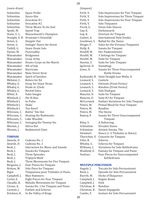*(snare drum)*

Schinstine Space Probe<br>Schinstine Synco-Stix Schinstine Synco-Stix<br>Schinstine Evocation Schinstine Evocation #1<br>Schinstine Evocation #2 Schinstine Evocation #2<br>Schinstine Three Means' Schinstine Three Means To An And<br>Spede, M. Speed Trap Spede, M. Speed Trap<br>Stone, G. L. Massachuse Massachusett's Champion Straight, E. B. Drummer's Downfall<br>Street, G. Steppin' Out Street, G. Steppin' Out<br>Street, G. Swingin' Dow Street, G. Swingin' Down the Street<br>Tuthill, G. Snare Drum Solo Snare Drum Solo<br>Punctuality Varner, M.<br>Wanamaker Wanamaker Bridgemen<br>Wanamaker Crazy Army Wanamaker Crazy Army<br>Wanamaker Drums Corn Drums Corps on the March<br>4th of July Wanamaker 4th of July<br>Wanamaker Hurricane Wanamaker<br>Wanamaker Wanamaker Main Street Strut<br>Wanamaker Spirit of Sanchez Wanamaker Spirit of Sanchez<br>Webster, C. Bolero for Ed Webster, C. Bolero for Ed<br>Whaley, G. Essay for Snai Whaley, G. Essay for Snare Drum<br>Whaley, G. Etude in 32nds Etude in 32nds<br>Recital Solos Whaley, G.<br>White, E. False Images<br>Hit-N-Run Whitlock, J. Hit-N-Ru<br>Whitlock J. In-Pulse Whitlock J. In-Pul<br>Whitlock I. Shala' Whitlock J. Shala'<br>Whitlock I. Tuo Kaerf Whitlock J.<br>Wilcoxon, C. Wilcoxon, C. Battin' 'Em Out Wilcoxon, C. Heating the Rud Heating the Rudiments<br>Lake Woodite Wilcoxon, C.<br>Wilcoxon, C. Swinging the Twenty-Six<br>Africa Hot Wooten, J.<br>Wooten, J. Rudimental Clave

#### **TIMPANI**

| Ameele, D.   | Cadenza No. 1                        |  |
|--------------|--------------------------------------|--|
| Ameele, D.   | Cadenza No. 2                        |  |
| Beck, J.     | Interaction for Music and Sounds     |  |
| Beck, J.     | Sonata for Timpani                   |  |
| Beck, J.     | Three Episodes                       |  |
| Beck, J.     | <b>Triptych Motif</b>                |  |
| Beck, J.     | Three Movements for Five Timpani     |  |
| Bergamo, J.  | Four Pieces for Timpani              |  |
| Britton, M.  | Solo Piece for Timpani               |  |
| <b>Bigot</b> | Timpaniana pour Timbales et Piano    |  |
| Campbell, J. | Blue Hammers                         |  |
| Carter, E.   | Eight Pieces for Four Timpani        |  |
| Cheadle, R.  | <b>Melodic Movements for Timpani</b> |  |
| Cirone, A.   | Sonata No. 1 for Timpani and Piano   |  |
| Curnow, J.   | Fanfare and Scherzo                  |  |
| Erickson, K. | In the Valley of Kings               |  |
|              |                                      |  |

#### *(timpani)*

| Firth, V.                                   | Solo Impressions for Two Timpani    |  |  |
|---------------------------------------------|-------------------------------------|--|--|
| Firth, V.                                   | Solo Impressions for Three Timpani  |  |  |
| Firth, V.                                   | Solo Impressions for Four Timpani   |  |  |
| Solo Timpanist<br>Firth, V.                 |                                     |  |  |
| Frock, G.                                   | Seven Solo Dances                   |  |  |
| Gay, K.                                     | Farfenmarch                         |  |  |
| Gay, K.                                     | Overture for Timpani                |  |  |
| Gomez, A.                                   | <b>International Style Etudes</b>   |  |  |
| Goodman, S.                                 | <b>Ballad for the Dance</b>         |  |  |
| Hinger, F.                                  | Solos for the Virtuoso Timpanist    |  |  |
| Holly, R.                                   | Sonata for Timpani                  |  |  |
| Houliff, M.                                 | Der Paukenmeister                   |  |  |
| Houllif, M.                                 | 3 Settings for Timpani              |  |  |
| Houllif, M.                                 | Suite for Timpani                   |  |  |
| Huston, S.                                  | Suite for Solo Timpani              |  |  |
| Igelsrud, D.                                | Soundings                           |  |  |
| Jones, D.<br>Sonata for Three Unaccompanied |                                     |  |  |
|                                             | <b>Kettle Drums</b>                 |  |  |
| Kashanski, R.                               | Semi-Straight Jazz Waltz, A         |  |  |
| Leonard, S.                                 | Canticle                            |  |  |
| Leonard, S.                                 | Ostinato (From Forms)               |  |  |
| Leonard, S.                                 | Rondino (From Forms)                |  |  |
| Leonard, S.                                 | Solo Dialogue                       |  |  |
| Mancini, D.                                 | Suite for Timpani                   |  |  |
| Mancini, D.                                 | Suite #2 for Timpani                |  |  |
| McCormick                                   | Fanfare Variations for Solo Timpani |  |  |
| Peters, M.                                  | Primal Mood for Four Timpani        |  |  |
| Peters, M.                                  | Randino                             |  |  |
| Peters, M.                                  | The Storm                           |  |  |
| Ramey, P.                                   | Sonata for Three Unaccompanied      |  |  |
|                                             | Timpani                             |  |  |
| Riley, S.                                   | A Delivering                        |  |  |
| Schinstine                                  | Dresden Dance                       |  |  |
| Schinstine                                  | Artistie Sonata, The                |  |  |
| Steinhart                                   | Dance (+4 Timbales or Rotos)        |  |  |
| Tharichen, V.                               | Concerto for Timpani                |  |  |
| Vitto, B.                                   | Scherzo                             |  |  |
| Whaley, G.                                  | Scherzo for Timpani                 |  |  |
| Williams, J.                                | Variations for Solo Kettledrums     |  |  |
| Wuebold, E.                                 | Fantasy for Timpani and Piano       |  |  |
| Youhass                                     | Four Pieces for Unaccompanied       |  |  |
|                                             | Kettledrums                         |  |  |

#### **MULTIPLE PERCUSSION**

| Angelo, J.    | Toccata for Solo Percussionist |
|---------------|--------------------------------|
| Beck, J.      | Episode for Solo Percussionist |
| Burritt, M.   | <b>Sticks of Eloquence</b>     |
| Campbell, J.  | Engine Room                    |
| Campbell, J.  | Fork                           |
| Christian, B. | Rondino                        |
| Christian, B. | Danze Espagnola                |
| Combs, F.     | Gesture for Solo Percussionist |
|               |                                |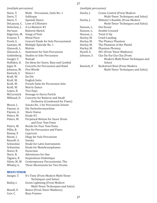|  |  | (multiple percussion) |  |
|--|--|-----------------------|--|
|--|--|-----------------------|--|

| <i>(multiple percussion)</i> |                                                      |  |  |  |
|------------------------------|------------------------------------------------------|--|--|--|
| Davis, T.                    | Multi Percussion, Suite No. 1                        |  |  |  |
| Davis, T.                    | Soliloquy                                            |  |  |  |
| Davis, T.                    | <b>Spanish Dance</b>                                 |  |  |  |
| DeLancey, C.                 | Love of L'Histoire                                   |  |  |  |
| Delecluse, J.                | A La Maniere #3                                      |  |  |  |
| Dervaux                      | Batterie-Sketch                                      |  |  |  |
| Edgerton, M.                 | Songs of Vent                                        |  |  |  |
| Frazeur, T.                  | <b>Mood Piece</b>                                    |  |  |  |
| Frock, G.                    | <b>Concert Etude for Solo Percussionist</b>          |  |  |  |
| Gaetano, M.                  | Multiple Episode No. 1                               |  |  |  |
| Glassock, L.                 | Motion                                               |  |  |  |
| Glassock, L.                 | <b>Statement for Solo Percussion</b>                 |  |  |  |
| Goldenberg                   | <b>Studies in Solo Percussion</b>                    |  |  |  |
| Guager, T.                   | Nomad                                                |  |  |  |
| Holliden, D.                 | Six Ideas for Snare, Bass and Cymbal                 |  |  |  |
| Jager, R.                    | <b>Concerto for Percussion and Band</b>              |  |  |  |
| Johnson, W.                  | <b>Five Words</b>                                    |  |  |  |
| Kastuck, S.                  | Dance I                                              |  |  |  |
| Kraft, W.                    | Da-Dit                                               |  |  |  |
| Kraft, W.                    | <b>English Suite</b>                                 |  |  |  |
| Kraft, W.                    | <b>French Suite for Percussion Solo</b>              |  |  |  |
| Kraft, W.                    | Morris Dance                                         |  |  |  |
| Lopez, R.                    | Two Days                                             |  |  |  |
| McCormick                    | Homage to Harry Partch                               |  |  |  |
| Milhaud, D.                  | <b>Concerto for Batterie and Small</b>               |  |  |  |
|                              | Orchestra (Condensed for Piano)                      |  |  |  |
| Moore, J.                    | Sonata No. 1 for Percussion Soloist                  |  |  |  |
| Payson, A.                   | Die Zwitschermaschine                                |  |  |  |
| Payson, A.                   | Slavic Danse                                         |  |  |  |
| Peters, M.                   | Etude #2                                             |  |  |  |
| Peters, M.                   | Perpetual Motion for Snare Drum<br>and Four Tom-Toms |  |  |  |
| Peters, M.                   | Rondo for Four Tom-Toms                              |  |  |  |
| Pillin, B.                   | Duo for Percussion and Piano                         |  |  |  |
| Ramey, P.                    | Capriccio                                            |  |  |  |
| Rosen, J.                    | Elegy for Solo Percussion                            |  |  |  |
| Russell, A.                  | Sonata                                               |  |  |  |
| Schinstine                   | <b>Etude for Latin Instruments</b>                   |  |  |  |
| Schinstine                   | Etude for Membranophones                             |  |  |  |
| Starer, R.                   | Excursion                                            |  |  |  |
| Stern, R.                    | <b>Adventures for One</b>                            |  |  |  |
| Tagawa, R.                   | <b>Inspirations Diabolique</b>                       |  |  |  |
| Udow, M. W.                  | Contemporary Percussionist, The                      |  |  |  |
| Whaley, G.                   | Three Movements for Two Drums                        |  |  |  |

#### **MULTI-TENOR**

| Aungst, T.  | It's Time (From Modern Multi-Tenor |
|-------------|------------------------------------|
|             | Techniques and Solos)              |
| Bailey, J.  | Green Lightning (From Modern       |
|             | Multi-Tenor Techniques and Solos)  |
| Bissell, P. | <b>Bones (From Tenor Madness)</b>  |
| Carr, C.    | <b>Busy Frames</b>                 |
|             |                                    |

*(multiple percussion)*

| Cruise Control (From Modern<br>Multi-Tenor Techniques and Solos) |
|------------------------------------------------------------------|
| Webster's Rumble (From Modern                                    |
| Multi-Tenor Techniques and Solos)                                |
| Out House                                                        |
| Double Crossed                                                   |
| Twist It Up                                                      |
| Crash Landing                                                    |
| The Phancy Phantom                                               |
| The Phantom of the Phield                                        |
| <b>Phantom Phrenzy</b>                                           |
| <b>SVC (From Tenor Madness)</b>                                  |
| Cha-Da-Da-Cha-Cha (From                                          |
| Modern Multi-Tenor Techniques and                                |
| Solos)                                                           |
| Backstreet Beat (From Modern                                     |
| Multi-Tenor Techniques and Solos)                                |
|                                                                  |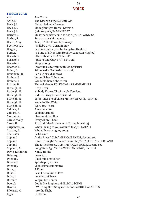#### **FEMALE VOICE**

| Abt                             | Ave Maria                                                |  |  |
|---------------------------------|----------------------------------------------------------|--|--|
| Arne, M.                        | The Lass with the Delicate Air                           |  |  |
| Bach, J.S.                      | Bist du bei mir- German                                  |  |  |
| Bach, J.S.                      | Mein gläubiges Herze- German.                            |  |  |
| Bach, J.S.                      | Quia respexit/ MAGNIFICAT                                |  |  |
| Barber, S.                      | Must the winter come so soon?/ARIA: VANESSA              |  |  |
| Barber, S.                      | Sure on this shining night                               |  |  |
| Beach, Amy                      | Take, O Take Those Lips Away                             |  |  |
| Beethoven, L                    | Ich liebe dich- German only                              |  |  |
| Berger, J                       | Carolina Cabin (text by Langston Hughes)                 |  |  |
| Berger, J                       | In Time of Silver Rain (text by Langston Hughes)         |  |  |
| Bernstein                       | I Hate Music / I HATE MUSIC                              |  |  |
| Bernstein                       | I Just Found Out/ I HATE MUSIC                           |  |  |
| Bernstein                       | Simple Song                                              |  |  |
| Boatner, E.                     | I want Jesus to walk with Me-Spiritual                   |  |  |
| Bohm, C.                        | Still wie die Nacht-German only.                         |  |  |
| Bononcini, B.                   | Per la gloria d'adoravi                                  |  |  |
| Brahms, J.                      | Vergebliches Ständchen                                   |  |  |
| Brahms, J.                      | Wie Melodien zieht es mir                                |  |  |
| Britten, B                      | The Ash Grove, FOLKSONG ARRANGEMENTS                     |  |  |
| Burleigh, H.                    | Deep River                                               |  |  |
| Burleigh, H.                    | Nobody Knows The Trouble I've Seen                       |  |  |
| Burleigh, H.                    | Ride on, King Jesus- Spiritual                           |  |  |
| Burleigh, H.                    | Sometimes I Feel Like a Motherless Child-Spiritual       |  |  |
| Burleigh, H.                    | Wade In The Water                                        |  |  |
| Burleigh, H.                    | Were You There                                           |  |  |
| Caldara, A.                     | Alma del core                                            |  |  |
| Caldara, A.                     | Sebben Crudele                                           |  |  |
|                                 |                                                          |  |  |
| Campra, A.<br>Carew, Molly      | <b>Charmant Papillon</b><br>Everywhere I Look            |  |  |
| Carey, H.                       | Pastoral (also known as: A Spring Morning)               |  |  |
| Carpenter, J.A.                 | When I bring to you colour'd toys/GITANJALI              |  |  |
|                                 |                                                          |  |  |
| Charles, E.                     | When I have sung my songs<br>Le Charme                   |  |  |
| Chausson<br>Copland             | At the River/ OLD AMERICAN SONGS, Second set             |  |  |
|                                 | Once I Thought I'd Never Grow Tall/ARIA: THE TENDER LAND |  |  |
| Copland                         | The Little Horses/OLD AMERICAN SONGS, Second set         |  |  |
| Copland                         |                                                          |  |  |
| Copland, A.<br>Davis, Katherine | Long Time Ago/OLD AMERICAN SONGS, First set              |  |  |
|                                 | Nancy Hanks                                              |  |  |
| Debussy, C.                     | Beau Soir                                                |  |  |
| Donaudy                         | O del mio amato ben                                      |  |  |
| Donaudy                         | Spirate pur, spirate                                     |  |  |
| Donaudy                         | Vaghissima sembianza                                     |  |  |
| Duke, J.                        | A Piper                                                  |  |  |
| Duke, J.                        | I can't be talkin' of love                               |  |  |
| Duke, J.                        | Loveliest of Trees                                       |  |  |
| Durante                         | Vergin, tutto amor                                       |  |  |
| <b>Dvorak</b>                   | God is My Shepherd/BIBLICAL SONGS                        |  |  |
| <b>Dvorak</b>                   | I Will Sing New Songs of Gladness/BIBLICAL SONGS         |  |  |
| Edwards, C.                     | Into the Night                                           |  |  |
| Elgar                           | In Haven                                                 |  |  |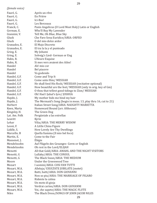| (female voice) |  |
|----------------|--|
|                |  |

| Fauré, G.     | Après un rêve                                                   |
|---------------|-----------------------------------------------------------------|
| Fauré, G.     | En Prière                                                       |
| Fauré, G.     | Ici-Bas!                                                        |
| Fauré, G.     | Les Berceaux                                                    |
| Franck, C.    | Panis Angelicus (O Lord Most Holy) Latin or English             |
| German, E.    | Who'll Buy My Lavender                                          |
| Giannini, V.  | Tell Me, Oh Blue, Blue Sky                                      |
| Gluck         | Che Faro Sena Euridice/ARIA: ORFEO                              |
| Gluck         | O del mio dolce ardor                                           |
| Granados, E.  | El Majo Discreto                                                |
| Granados, E.  | El tra la la y el punteado                                      |
| Grieg, E.     | My Johann                                                       |
| Grieg, E.     | Solvejg's Lied- German or Eng                                   |
| Hahn, R.      | L'Heure Exquise                                                 |
| Hahn, R.      | Si mes vers avaient des Ailes!                                  |
| Handel        | Ah! mio cor                                                     |
| Handel        | Bel piacere                                                     |
| Handel        | Va godendo                                                      |
| Handel, G.F.  | Come and Trip It                                                |
| Handel, G.F.  | Come unto Him/MESSIAH                                           |
| Handel, G.F.  | He shall feed His flock/ MESSIAH (recitative optional)          |
| Handel, G.F.  | How beautiful are the feet/ MESSIAH (only in orig. key of Gm)   |
| Handel, G.F.  | O thou that tellest good tidings to Zion/MESSIAH                |
| Handel, G.F.  | Oh! Had I Jubal's lyre/ JOSHUA                                  |
| Haydn, J.     | My mother bids me bind my hair                                  |
| Haydn, J.     | The Mermaid's Song (begin in meas. 13, play thru 16, cut to 21) |
| Herbert       | Italian Street Song/ARIA: NAUGHTY MARIETTA                      |
| Keen, Marta   | Homeward Bound (arr. Althouse)                                  |
| Kingsley, H.  | The Green Dog                                                   |
| Lat. Am. Folk | Pergúntale a las estrellas                                      |
| Leavitt       | Kyrie                                                           |
| Lehar         | Vilia/ARIA: THE MERRY WIDOW                                     |
| Leoni, F.     | A Little China Figure                                           |
| Liddle, S.    | How Lovely Are Thy Dwellings                                    |
| Marcello, B   | Quella fiamma (Il mio bel foco)                                 |
| Martin, E.    | Come to the Fair                                                |
| Massenet, J.  | Élégie                                                          |
| Mendelssohn   | Auf Flügeln des Gesanges- Germ or English                       |
| Mendelssohn   | Oh rest in the Lord/ELIJAH                                      |
| Menotti       | All that Gold/ARIA: AMAHL AND THE NIGHT VISITORS                |
| Menotti, G    | Lullaby/ARIA: THE CONSUL                                        |
| Menotti, G    | The Black Swan/ARIA: THE MEDIUM                                 |
| Moore         | Under the Greenwood Tree                                        |
| Mozart        | I uomini/ARIA: COSI FAN TUTTI                                   |
| Mozart, W.A.  | Alleluja/ EXULTATE JUBILATE (motet)                             |
| Mozart, W.A.  | Batti, batti/ARIA: DON GIOVANNI                                 |
| Mozart, W.A.  | Non so piu/ARIA: THE MARRIAGE OF FIGARO                         |
| Mozart, W.A.  | Ridente la calma                                                |
| Mozart, W.A.  | Un moto di gioja                                                |
| Mozart, W.A.  | Verdrai carino/ARIA: DON GIOVANNI                               |
| Mozart, W.A.  | Voi, che sapete/ARIA: THE MAGIC FLUTE                           |
| <b>Niles</b>  | The Black Dress/SONGS OF JOHN JACOB NILES                       |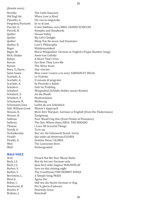| (female voice)       |                                                            |
|----------------------|------------------------------------------------------------|
| Novello              | The Little Damozel                                         |
| Old Engl Air         | When Love is Kind                                          |
| Paisiello, G.        | Chi vuo la zingarella                                      |
| Pergolesi/Parisotti  | Se tu m'ami                                                |
| Puccini, G.          | O mio babbino caro/ARIA: GIANNI SCHICCHI                   |
| Purcell, H.          | Nymphs and Shepherds                                       |
| Quilter              | Dream Valley                                               |
| Quilter              | My Life's Delight                                          |
| Quilter              | Weep You No more, Sad Fountains                            |
| Quilter, R.          | Love's Philosophy                                          |
| Reger                | Waldeinsamkeit                                             |
| Reger, M.            | Maria Wiegenlied- German or English (Virgin Slumber Song)  |
| Rich, Gladys         | American Lullaby                                           |
| Robyn                | A Heart That's Free                                        |
| Rorem                | See How They Love Me                                       |
| Rorem                | The Silver Swan                                            |
| Rosa, S./Anon.       | Star vincino                                               |
| Saint-Saens          | Mon coeur s'ouvre a ta voix/ SAMSON ET DELIA               |
| Scarlatti, A.        | Le Violette                                                |
| Scarlatti, A.        | O cessate di piagrami                                      |
| Scarlatti, A.        | Se Florindo e fedele                                       |
| Schubert             | Gott Im Frühling                                           |
| Schubert             | Wiegenlied (Schlafe, holder, susser Knabe)                 |
| Schubert, F.         | An die Musik                                               |
| Schubert, F.         | Heidenröslein                                              |
| Schumann, R.         | Widmung                                                    |
| Schumann, Clara      | Liebst du urn Schönheit                                    |
| Still, William Grant | Winter's Approach                                          |
| Strauss, R.          | Mein Herr Marquis- German or English (from Die Fledermaus) |
| Strauss, R.          | Zueignung                                                  |
| Sullivan             | Poor Wand'ring One (from Pirates of Penzance)              |
| Sullivan             | The Sun, Whose Rays/ARIA: THE MIKADO                       |
| Thiman               | I Love All Graceful Things                                 |
| Torelli, G.          | Tu lo sai                                                  |
| Tschaikovsky         | Nur ver die Sehnsucht kennt- Germ.                         |
| Vivaldi              | Qui sedes ad dexteram/GLORIA                               |
| Vivaldi, A.          | Domine Deus/ GLORIA                                        |
| Weil                 | The Lonesome Dove                                          |
| Wolf                 | Verborgenheit                                              |
|                      |                                                            |

## **MALE VOICE**

| Preach Not Me Your Musty Rules     |
|------------------------------------|
| Bist du bei mir-German only        |
| Quia fecit mihi magna/ MAGNIFICAT  |
| Sure on this shining night         |
| The Crucifixion/THE HERMIT SONGS   |
| A Simple Song/MASS                 |
| Agnus Dei                          |
| Still wie die Nacht-German or Eng. |
| Per la gloria d'adoravi            |
| <b>Heavenly Grass</b>              |
| <b>Botschaft</b>                   |
|                                    |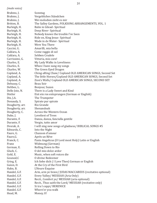|  | (male voice) |
|--|--------------|
|  |              |

| Brahms, J.      | Sonntag                                                  |
|-----------------|----------------------------------------------------------|
| Brahms, J.      | Vergebliches Ständchen                                   |
| Brahms, J.      | Wei melodien zieht es mir                                |
| Britten, B.     | The Salley Gardens, FOLKSONG ARRANGEMENTS, VOL. 1        |
| Burleigh, H.    | Balm in Gilead-Spiritual                                 |
| Burleigh, H.    | Deep River- Spiritual                                    |
| Burleigh, H.    | Nobody knows the trouble I've Seen                       |
| Burleigh, H.    | Ride on, King Jesus- Spiritual                           |
| Burleigh, H.    | Wade in de Water-Spiritual                               |
| Burleigh, H.    | Were You There                                           |
| Caccini, G.     | Amarilli, mia bella                                      |
| Caldara, A.     | Come raggio di sol                                       |
| Caldara, A.     | Sebben Crudele                                           |
| Carrissimi, G.  | Vittoria, mio core!                                      |
| Charles, E.     | My Lady Walks in Loveliness                              |
| Charles, E.     | When I have sung my songs                                |
| Charles, W.     | The Green Eyed Dragon                                    |
| Copland, A.     | Ching-aRing Chaw/ Copland OLD AMERICAN SONGS, Second Set |
| Copland, A.     | The little Horses/Copland OLD AMERICAN SONGS, Second Set |
| Copland, A.     | Zion's Walls/ Copland OLD AMERICAN SONGS, SECOND SET     |
| Debussy, C.     | Beau Soir                                                |
| Delibes, L.     | Bonjour, Suzon                                           |
| Dello Joio, N.  | There is a Lady Sweet and Kind                           |
| Distler         | Eist ein ros entsprungen (German or English)             |
| Dix, J.A.       | The Trumpeter                                            |
| Donaudy, S.     | Spirate pur spirate                                      |
| Dougherty, arr. | Rio Grande                                               |
| Dougherty, arr. | Shenandoah                                               |
| Dougherty, C.   | Across the Western Ocean                                 |
| Duke, J.        | <b>Loveliest of Trees</b>                                |
| Durante, F.     | Danza, danza, fanciulla gentile                          |
| Durante, F.     | Vergin, tutto amor                                       |
| Dvorak, A.      | I will sing new songs of gladness/ BIBLICAL SONGS #5     |
| Edwards, C.     | Into the Night                                           |
| Faure, G.       | Chanson d'amour                                          |
| Faure, G.       | Après un Rêve                                            |
| Franck, C.      | Panis Angelicus (O Lord most Holy) Latin or English      |
| Franz           | Widmung (German)                                         |
| German, E.      | Rolling Down to Rio                                      |
| Gluck, C.       | O del mio dolce ardor                                    |
| Gold, E.        | Music, when soft voices die                              |
| Gounod, C       | O divine Redeemer                                        |
| Grieg, E.       | Ich liebe dich (I Love Thee) German or English           |
| Guion, D.       | At the Cry of the First Bird                             |
| Hahn, B.        | L'Heure Exquise                                          |
| Handel, G.F.    | Arm, arm ye brave/ JUDAS MACCABEUS (recitative optional) |
| Handel, G.F.    | Every Valley/ MESSIAH (Aria Only)                        |
| Handel, G.F.    | Recit., Comfort ye/ MESSIAH (aria optional)              |
| Handel, G.F.    | Recit., Thus saith the Lord/MESSIAH (recitative only)    |
| Handel, G.F.    | Si tra I ceppi/ BERENICE                                 |
| Handel, G.F.    | Where'er you walk                                        |
| Head, M.        | Money, O!                                                |
|                 |                                                          |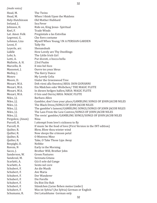*(male voice)* Head, M. The Twins<br>Head, M. When I thin Head, M. When I think Upon the Maidens<br>Hely-Hutchinson Old Mother Hubbard Old Mother Hubbard<br>Sea Fever Ireland, J.<br>Johnson, H. Johnson, H. Ride on, King Jesus- Spiritual<br>Keel. F. Trade Winds Keel, F. Trade Winds<br>Lat. Amer. Folk Pregúntale a Lat. Amer. Folk Pregúntale a las Estrellas<br>Legrenzi, G. Che fiero costume Legrenzi, G. Che fiero costume<br>
Lehman, Liza Myself When Youn Lehman, Liza Myself When Young/ IN A PERSIAN GARDEN Tally-Ho<br>Shenandoah Leyerle, arr.<br>Liddle Liddle How Lovely are Thy Dwellings Lohr, h. The Little Irish Girl<br>Lotti, A. Pur dicesti, o bocca Pur dicesti, o bocca bella<br>23rd Psalm Mallotte, A. H. 23rd Psalm<br>Marcello, B. 11 mio bel foco Marcello, B.<br>Massenet, J. Massenet, J. Ouvre tes yeux bleus<br>Molloy, J. The Kerry Dance Molloy, J. The Kerry Dance<br>Monro My Lovely Celia Monro My Lovely Celia<br>Moore. D. Under the Green Moore, D. Under the Greenwood Tree<br>Mozart. W.A. Deh vieni alla finestra/ARIA Mozart, W.A. Deh vieni alla finestra/ARIA: DON GIOVANNI<br>Mozart, W.A. Ein Mädchen oder Weibchen/THE MAGIC FL Mozart, W.A. Ein Mädchen oder Weibchen/ THE MAGIC FLUTE<br>Mozart. W.A. In diesen heilgen hallen/ARIA: MAGIC FLUTE Mozart, W.A. In diesen heilgen hallen/ARIA: MAGIC FLUTE<br>Mozart, W.A. O Isis und Osiris/ARIA: MAGIC FLUTE Mozart, W.A. O Isis und Osiris/ARIA: MAGIC FLUTE<br>Niles, J.J. Barbara Allen Niles, J.J. Barbara Allen<br>Niles, I.I. Gambler, don't Niles, J.J. Gambler, don't lose your place/GAMBLING SONGS OF JOHN JACOB NILES<br>Niles, J.J. The Black Dress/SONGS OF JOHN JACOB NILES Niles, J.J. The Black Dress/SONGS OF JOHN JACOB NILES<br>Niles, J.J. The gambler's lament/GAMBLING SONGS/SON Niles, J.J. The gambler's lament/GAMBLING SONGS/SONGS OF JOHN JACOB NILES<br>Niles, J.J. The Lass From the Low Contree/SONGS OF JOHN JACOB NILES Niles, J.J. The Lass From the Low Contree/SONGS OF JOHN JACOB NILES<br>Niles, J.J. The rovin' gambler/GAMBLING SONGS/SONGS OF JOHN JACOB The rovin' gambler/GAMBLING SONGS/SONGS OF JOHN JACOB NILES<br>Nina Pergolesi, (Anon)<br>Purcell, H.

Purcell, H. I attempt from love's sickness to fly<br>Purcell. H. If music be the food of love (First Ve Purcell, H. If music be the food of love (First Version in the INT edition)<br>Quilter, R. Blow, Blow thou winter wind

Quilter, R. Blow, Blow thou winter wind<br>Quilter, R. Now sleeps the crimson petal

Quilter, R. Now sleeps the crimson petal<br>Quilter, R. O Mistress Mine

Quilter, R. O Mistress Mine<br>Quilter, R. Take, O Take Tho

Take, O Take Those Lips Away<br>Nebbie Respighi, O.<br>Rorem, N

Rorem, N<br>
Sacco, J.<br>
Brother Will, Brother

Brother Will, Brother John<br>Green Pastures

Sanderson, W.<br>Sandoval, M.

Sandoval, M. Serenata Gitana<br>Scarlatti. A. Già il sole dal Ga

Scarlatti, A. Già il sole dal Gange<br>Scarlatti, A. Sento nel core

Sento nel core<br>An die Musik

Schubert, F. An die Musikaanse Amerikaanse kantalise van die Musikaanse kantalise van die Musikaanse kantalise<br>Geboorte Amerikaanse kantalise van die Maria

Schubert, F.<br>Schubert, F.

Der Wanderer<br>Die Forelle Schubert, F.<br>Schubert, F.

Schubert, F. Du Bist Die Ruh<br>Schubert, F. Ständchen (Leis

Schubert, F. Ständchen (Leise flehen meine Lieder)<br>Schubert, F. Was ist Sylvia? (An Sylvia) German or E

Schubert, F. Was ist Sylvia? (An Sylvia) German or English<br>Schumann, R. Dei Lotusblume German only

Dei Lotusblume German only